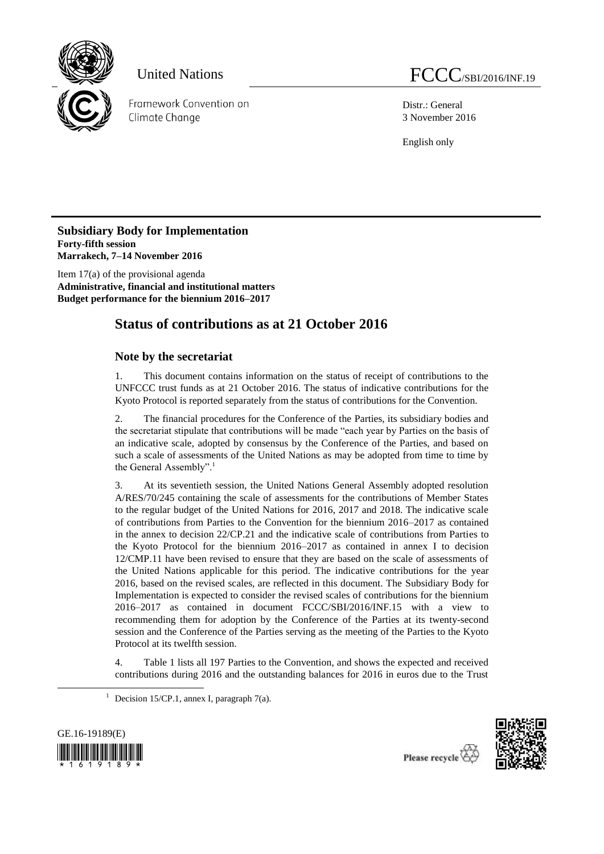

Distr.: General 3 November 2016

English only

**Subsidiary Body for Implementation Forty-fifth session Marrakech, 7–14 November 2016**

Item 17(a) of the provisional agenda **Administrative, financial and institutional matters Budget performance for the biennium 2016–2017**

# **Status of contributions as at 21 October 2016**

# **Note by the secretariat**

1. This document contains information on the status of receipt of contributions to the UNFCCC trust funds as at 21 October 2016. The status of indicative contributions for the Kyoto Protocol is reported separately from the status of contributions for the Convention.

2. The financial procedures for the Conference of the Parties, its subsidiary bodies and the secretariat stipulate that contributions will be made "each year by Parties on the basis of an indicative scale, adopted by consensus by the Conference of the Parties, and based on such a scale of assessments of the United Nations as may be adopted from time to time by the General Assembly".<sup>1</sup>

3. At its seventieth session, the United Nations General Assembly adopted resolution A/RES/70/245 containing the scale of assessments for the contributions of Member States to the regular budget of the United Nations for 2016, 2017 and 2018. The indicative scale of contributions from Parties to the Convention for the biennium 2016–2017 as contained in the annex to decision 22/CP.21 and the indicative scale of contributions from Parties to the Kyoto Protocol for the biennium 2016–2017 as contained in annex I to decision 12/CMP.11 have been revised to ensure that they are based on the scale of assessments of the United Nations applicable for this period. The indicative contributions for the year 2016, based on the revised scales, are reflected in this document. The Subsidiary Body for Implementation is expected to consider the revised scales of contributions for the biennium 2016–2017 as contained in document FCCC/SBI/2016/INF.15 with a view to recommending them for adoption by the Conference of the Parties at its twenty-second session and the Conference of the Parties serving as the meeting of the Parties to the Kyoto Protocol at its twelfth session.

4. Table 1 lists all 197 Parties to the Convention, and shows the expected and received contributions during 2016 and the outstanding balances for 2016 in euros due to the Trust

<sup>&</sup>lt;sup>1</sup> Decision 15/CP.1, annex I, paragraph 7(a).



1

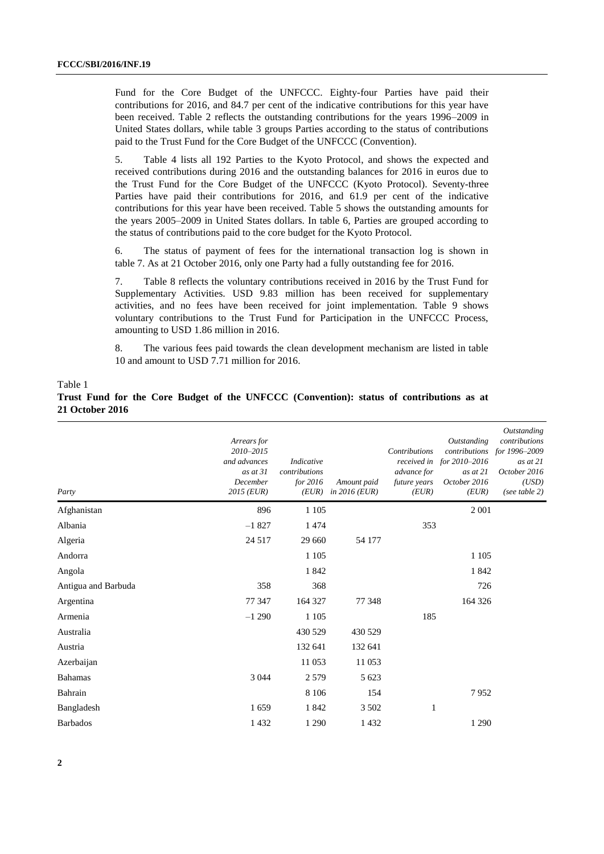Fund for the Core Budget of the UNFCCC. Eighty-four Parties have paid their contributions for 2016, and 84.7 per cent of the indicative contributions for this year have been received. Table 2 reflects the outstanding contributions for the years 1996–2009 in United States dollars, while table 3 groups Parties according to the status of contributions paid to the Trust Fund for the Core Budget of the UNFCCC (Convention).

5. Table 4 lists all 192 Parties to the Kyoto Protocol, and shows the expected and received contributions during 2016 and the outstanding balances for 2016 in euros due to the Trust Fund for the Core Budget of the UNFCCC (Kyoto Protocol). Seventy-three Parties have paid their contributions for 2016, and 61.9 per cent of the indicative contributions for this year have been received. Table 5 shows the outstanding amounts for the years 2005–2009 in United States dollars. In table 6, Parties are grouped according to the status of contributions paid to the core budget for the Kyoto Protocol.

6. The status of payment of fees for the international transaction log is shown in table 7. As at 21 October 2016, only one Party had a fully outstanding fee for 2016.

7. Table 8 reflects the voluntary contributions received in 2016 by the Trust Fund for Supplementary Activities. USD 9.83 million has been received for supplementary activities, and no fees have been received for joint implementation. Table 9 shows voluntary contributions to the Trust Fund for Participation in the UNFCCC Process, amounting to USD 1.86 million in 2016.

8. The various fees paid towards the clean development mechanism are listed in table 10 and amount to USD 7.71 million for 2016.

#### Table 1

### **Trust Fund for the Core Budget of the UNFCCC (Convention): status of contributions as at 21 October 2016**

| Party               | Arrears for<br>2010-2015<br>and advances<br>as at $31$<br>December<br>$2015$ (EUR) | Indicative<br>contributions<br>for 2016<br>(EUR) | Amount paid<br>in $2016$ (EUR) | Contributions<br>advance for<br>future years<br>(EUR) | <b>Outstanding</b><br>received in for 2010-2016<br>as at $21$<br>October 2016<br>(EUR) | Outstanding<br>contributions<br>contributions for 1996-2009<br>as at $21$<br>October 2016<br>(USD)<br>(see table $2)$ |
|---------------------|------------------------------------------------------------------------------------|--------------------------------------------------|--------------------------------|-------------------------------------------------------|----------------------------------------------------------------------------------------|-----------------------------------------------------------------------------------------------------------------------|
| Afghanistan         | 896                                                                                | 1 1 0 5                                          |                                |                                                       | 2 0 0 1                                                                                |                                                                                                                       |
| Albania             | $-1827$                                                                            | 1474                                             |                                | 353                                                   |                                                                                        |                                                                                                                       |
| Algeria             | 24 5 17                                                                            | 29 660                                           | 54 177                         |                                                       |                                                                                        |                                                                                                                       |
| Andorra             |                                                                                    | 1 1 0 5                                          |                                |                                                       | 1 1 0 5                                                                                |                                                                                                                       |
| Angola              |                                                                                    | 1842                                             |                                |                                                       | 1842                                                                                   |                                                                                                                       |
| Antigua and Barbuda | 358                                                                                | 368                                              |                                |                                                       | 726                                                                                    |                                                                                                                       |
| Argentina           | 77 347                                                                             | 164 327                                          | 77 348                         |                                                       | 164 326                                                                                |                                                                                                                       |
| Armenia             | $-1290$                                                                            | 1 1 0 5                                          |                                | 185                                                   |                                                                                        |                                                                                                                       |
| Australia           |                                                                                    | 430 529                                          | 430 529                        |                                                       |                                                                                        |                                                                                                                       |
| Austria             |                                                                                    | 132 641                                          | 132 641                        |                                                       |                                                                                        |                                                                                                                       |
| Azerbaijan          |                                                                                    | 11 053                                           | 11 053                         |                                                       |                                                                                        |                                                                                                                       |
| <b>Bahamas</b>      | 3 0 4 4                                                                            | 2579                                             | 5 6 23                         |                                                       |                                                                                        |                                                                                                                       |
| Bahrain             |                                                                                    | 8 1 0 6                                          | 154                            |                                                       | 7952                                                                                   |                                                                                                                       |
| Bangladesh          | 1659                                                                               | 1842                                             | 3 5 0 2                        | 1                                                     |                                                                                        |                                                                                                                       |
| <b>Barbados</b>     | 1 4 3 2                                                                            | 1 2 9 0                                          | 1 4 3 2                        |                                                       | 1 2 9 0                                                                                |                                                                                                                       |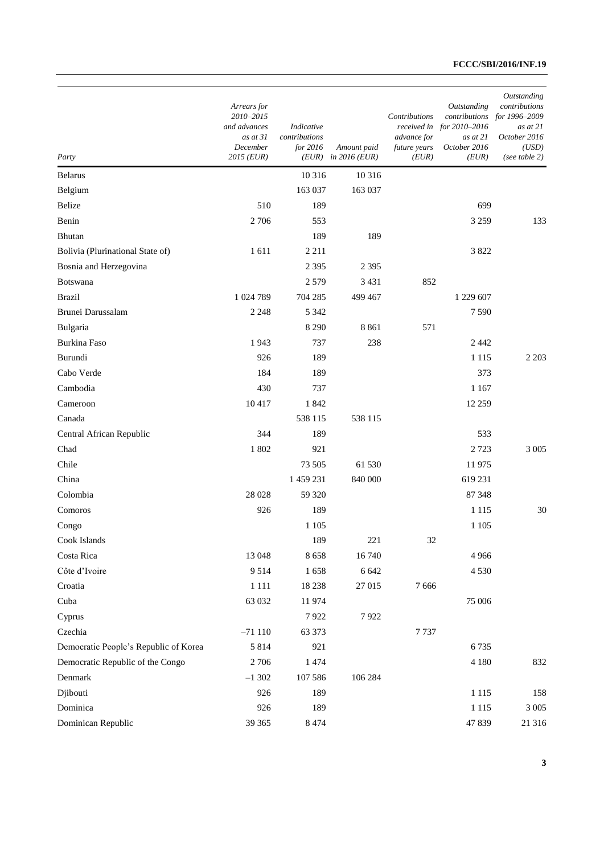| Party                                 | Arrears for<br>2010-2015<br>and advances<br>as at $31$<br>December<br>2015 (EUR) | Indicative<br>contributions<br>for 2016<br>(EUR) | Amount paid<br>in $2016$ (EUR) | Contributions<br>advance for<br>future years<br>(EUR) | Outstanding<br>contributions<br>received in for 2010-2016<br>as at 21<br>October 2016<br>(EUR) | Outstanding<br>contributions<br>for 1996–2009<br>as at 21<br>October 2016<br>(USD)<br>(see table 2) |
|---------------------------------------|----------------------------------------------------------------------------------|--------------------------------------------------|--------------------------------|-------------------------------------------------------|------------------------------------------------------------------------------------------------|-----------------------------------------------------------------------------------------------------|
| <b>Belarus</b>                        |                                                                                  | 10 316                                           | 10 316                         |                                                       |                                                                                                |                                                                                                     |
| Belgium                               |                                                                                  | 163 037                                          | 163 037                        |                                                       |                                                                                                |                                                                                                     |
| Belize                                | 510                                                                              | 189                                              |                                |                                                       | 699                                                                                            |                                                                                                     |
| Benin                                 | 2 706                                                                            | 553                                              |                                |                                                       | 3 2 5 9                                                                                        | 133                                                                                                 |
| Bhutan                                |                                                                                  | 189                                              | 189                            |                                                       |                                                                                                |                                                                                                     |
| Bolivia (Plurinational State of)      | 1611                                                                             | 2 2 1 1                                          |                                |                                                       | 3822                                                                                           |                                                                                                     |
| Bosnia and Herzegovina                |                                                                                  | 2 3 9 5                                          | 2 3 9 5                        |                                                       |                                                                                                |                                                                                                     |
| Botswana                              |                                                                                  | 2579                                             | 3 4 3 1                        | 852                                                   |                                                                                                |                                                                                                     |
| <b>Brazil</b>                         | 1 024 789                                                                        | 704 285                                          | 499 467                        |                                                       | 1 229 607                                                                                      |                                                                                                     |
| Brunei Darussalam                     | 2 2 4 8                                                                          | 5 3 4 2                                          |                                |                                                       | 7590                                                                                           |                                                                                                     |
| Bulgaria                              |                                                                                  | 8 2 9 0                                          | 8861                           | 571                                                   |                                                                                                |                                                                                                     |
| <b>Burkina Faso</b>                   | 1943                                                                             | 737                                              | 238                            |                                                       | 2442                                                                                           |                                                                                                     |
| Burundi                               | 926                                                                              | 189                                              |                                |                                                       | 1 1 1 5                                                                                        | 2 2 0 3                                                                                             |
| Cabo Verde                            | 184                                                                              | 189                                              |                                |                                                       | 373                                                                                            |                                                                                                     |
| Cambodia                              | 430                                                                              | 737                                              |                                |                                                       | 1 1 6 7                                                                                        |                                                                                                     |
| Cameroon                              | 10417                                                                            | 1842                                             |                                |                                                       | 12 259                                                                                         |                                                                                                     |
| Canada                                |                                                                                  | 538 115                                          | 538 115                        |                                                       |                                                                                                |                                                                                                     |
| Central African Republic              | 344                                                                              | 189                                              |                                |                                                       | 533                                                                                            |                                                                                                     |
| Chad                                  | 1802                                                                             | 921                                              |                                |                                                       | 2723                                                                                           | 3 0 0 5                                                                                             |
| Chile                                 |                                                                                  | 73 505                                           | 61 530                         |                                                       | 11975                                                                                          |                                                                                                     |
| China                                 |                                                                                  | 1 459 231                                        | 840 000                        |                                                       | 619 231                                                                                        |                                                                                                     |
| Colombia                              | 28 028                                                                           | 59 320                                           |                                |                                                       | 87 348                                                                                         |                                                                                                     |
| Comoros                               | 926                                                                              | 189                                              |                                |                                                       | 1 1 1 5                                                                                        | 30                                                                                                  |
| Congo                                 |                                                                                  | 1 1 0 5                                          |                                |                                                       | 1 1 0 5                                                                                        |                                                                                                     |
| Cook Islands                          |                                                                                  | 189                                              | 221                            | 32                                                    |                                                                                                |                                                                                                     |
| Costa Rica                            | 13 048                                                                           | 8658                                             | 16740                          |                                                       | 4966                                                                                           |                                                                                                     |
| Côte d'Ivoire                         | 9514                                                                             | 1658                                             | 6 6 4 2                        |                                                       | 4 5 3 0                                                                                        |                                                                                                     |
| Croatia                               | 1 1 1 1                                                                          | 18 2 38                                          | 27 015                         | 7666                                                  |                                                                                                |                                                                                                     |
| Cuba                                  | 63 032                                                                           | 11974                                            |                                |                                                       | 75 006                                                                                         |                                                                                                     |
| Cyprus                                |                                                                                  | 7922                                             | 7922                           |                                                       |                                                                                                |                                                                                                     |
| Czechia                               | $-71110$                                                                         | 63 373                                           |                                | 7737                                                  |                                                                                                |                                                                                                     |
| Democratic People's Republic of Korea | 5814                                                                             | 921                                              |                                |                                                       | 6735                                                                                           |                                                                                                     |
| Democratic Republic of the Congo      | 2 7 0 6                                                                          | 1474                                             |                                |                                                       | 4 1 8 0                                                                                        | 832                                                                                                 |
| Denmark                               | $-1302$                                                                          | 107 586                                          | 106 284                        |                                                       |                                                                                                |                                                                                                     |
| Djibouti                              | 926                                                                              | 189                                              |                                |                                                       | 1 1 1 5                                                                                        | 158                                                                                                 |
| Dominica                              | 926                                                                              | 189                                              |                                |                                                       | 1 1 1 5                                                                                        | 3 0 0 5                                                                                             |
| Dominican Republic                    | 39 365                                                                           | 8 4 7 4                                          |                                |                                                       | 47839                                                                                          | 21 316                                                                                              |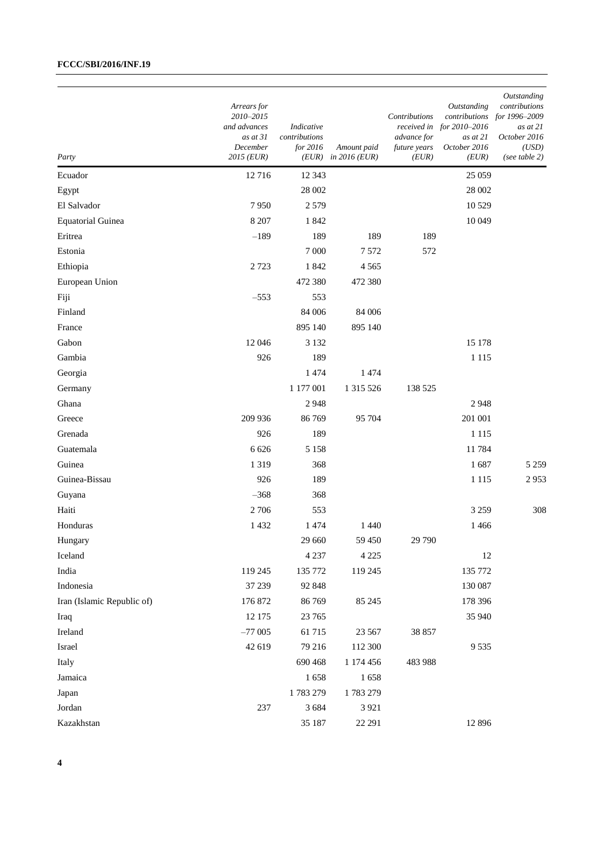| Party                      | Arrears for<br>2010-2015<br>and advances<br>as at 31<br>December<br>2015 (EUR) | Indicative<br>contributions<br>for 2016 | Amount paid<br>$(EUR)$ in 2016 (EUR) | Contributions<br>advance for<br>future years<br>(EUR) | Outstanding<br>contributions<br>received in for 2010–2016<br>as at 21<br>October 2016<br>(EUR) | Outstanding<br>contributions<br>for 1996-2009<br>as at 21<br>October 2016<br>(USD)<br>(see table $2)$ |
|----------------------------|--------------------------------------------------------------------------------|-----------------------------------------|--------------------------------------|-------------------------------------------------------|------------------------------------------------------------------------------------------------|-------------------------------------------------------------------------------------------------------|
| Ecuador                    | 12716                                                                          | 12 3 43                                 |                                      |                                                       | 25 059                                                                                         |                                                                                                       |
| Egypt                      |                                                                                | 28 002                                  |                                      |                                                       | 28 002                                                                                         |                                                                                                       |
| El Salvador                | 7950                                                                           | 2579                                    |                                      |                                                       | 10 5 29                                                                                        |                                                                                                       |
| <b>Equatorial Guinea</b>   | 8 2 0 7                                                                        | 1842                                    |                                      |                                                       | 10 049                                                                                         |                                                                                                       |
| Eritrea                    | $-189$                                                                         | 189                                     | 189                                  | 189                                                   |                                                                                                |                                                                                                       |
| Estonia                    |                                                                                | 7 000                                   | 7572                                 | 572                                                   |                                                                                                |                                                                                                       |
| Ethiopia                   | 2 7 2 3                                                                        | 1842                                    | 4565                                 |                                                       |                                                                                                |                                                                                                       |
| European Union             |                                                                                | 472 380                                 | 472 380                              |                                                       |                                                                                                |                                                                                                       |
| Fiji                       | $-553$                                                                         | 553                                     |                                      |                                                       |                                                                                                |                                                                                                       |
| Finland                    |                                                                                | 84 006                                  | 84 006                               |                                                       |                                                                                                |                                                                                                       |
| France                     |                                                                                | 895 140                                 | 895 140                              |                                                       |                                                                                                |                                                                                                       |
| Gabon                      | 12 04 6                                                                        | 3 1 3 2                                 |                                      |                                                       | 15 178                                                                                         |                                                                                                       |
| Gambia                     | 926                                                                            | 189                                     |                                      |                                                       | 1 1 1 5                                                                                        |                                                                                                       |
| Georgia                    |                                                                                | 1474                                    | 1474                                 |                                                       |                                                                                                |                                                                                                       |
| Germany                    |                                                                                | 1 177 001                               | 1 315 526                            | 138 525                                               |                                                                                                |                                                                                                       |
| Ghana                      |                                                                                | 2948                                    |                                      |                                                       | 2948                                                                                           |                                                                                                       |
| Greece                     | 209 936                                                                        | 86 769                                  | 95 704                               |                                                       | 201 001                                                                                        |                                                                                                       |
| Grenada                    | 926                                                                            | 189                                     |                                      |                                                       | 1 1 1 5                                                                                        |                                                                                                       |
| Guatemala                  | 6 6 2 6                                                                        | 5 1 5 8                                 |                                      |                                                       | 11784                                                                                          |                                                                                                       |
| Guinea                     | 1 3 1 9                                                                        | 368                                     |                                      |                                                       | 1687                                                                                           | 5 2 5 9                                                                                               |
| Guinea-Bissau              | 926                                                                            | 189                                     |                                      |                                                       | 1 1 1 5                                                                                        | 2953                                                                                                  |
| Guyana                     | $-368$                                                                         | 368                                     |                                      |                                                       |                                                                                                |                                                                                                       |
| Haiti                      | 2 706                                                                          | 553                                     |                                      |                                                       | 3 2 5 9                                                                                        | 308                                                                                                   |
| Honduras                   | 1432                                                                           | 1474                                    | 1 4 4 0                              |                                                       | 1466                                                                                           |                                                                                                       |
| Hungary                    |                                                                                | 29 660                                  | 59 450                               | 29 790                                                |                                                                                                |                                                                                                       |
| Iceland                    |                                                                                | 4 2 3 7                                 | 4 2 2 5                              |                                                       | 12                                                                                             |                                                                                                       |
| India                      | 119 245                                                                        | 135 772                                 | 119 245                              |                                                       | 135 772                                                                                        |                                                                                                       |
| Indonesia                  | 37 239                                                                         | 92 848                                  |                                      |                                                       | 130 087                                                                                        |                                                                                                       |
| Iran (Islamic Republic of) | 176 872                                                                        | 86 769                                  | 85 245                               |                                                       | 178 396                                                                                        |                                                                                                       |
| Iraq                       | 12 175                                                                         | 23 765                                  |                                      |                                                       | 35 940                                                                                         |                                                                                                       |
| Ireland                    | $-77005$                                                                       | 61715                                   | 23 5 67                              | 38 857                                                |                                                                                                |                                                                                                       |
| Israel                     | 42 619                                                                         | 79 216                                  | 112 300                              |                                                       | 9535                                                                                           |                                                                                                       |
| Italy                      |                                                                                | 690 468                                 | 1 174 456                            | 483 988                                               |                                                                                                |                                                                                                       |
| Jamaica                    |                                                                                | 1658                                    | 1658                                 |                                                       |                                                                                                |                                                                                                       |
| Japan                      |                                                                                | 1783279                                 | 1783 279                             |                                                       |                                                                                                |                                                                                                       |
| Jordan                     | 237                                                                            | 3 6 8 4                                 | 3 9 21                               |                                                       |                                                                                                |                                                                                                       |
| Kazakhstan                 |                                                                                | 35 187                                  | 22 29 1                              |                                                       | 12 8 9 6                                                                                       |                                                                                                       |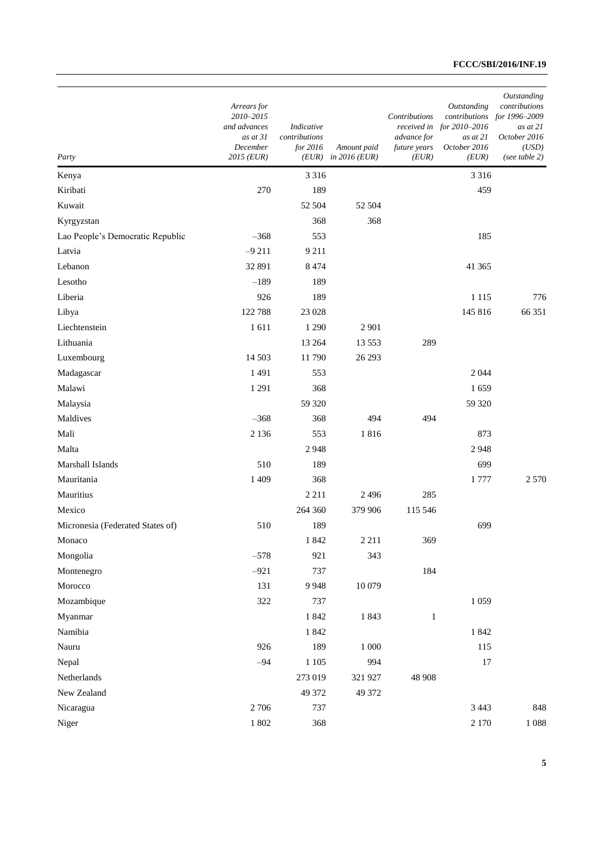| Party                            | Arrears for<br>2010-2015<br>and advances<br>$as$ at $31$<br>December<br>2015 (EUR) | Indicative<br>contributions<br>for 2016<br>(EUR) | Amount paid<br>in $2016$ (EUR) | Contributions<br>received in<br>advance for<br>future years<br>(EUR) | Outstanding<br>contributions<br>for 2010-2016<br>$as$ at $21$<br>October 2016<br>(EUR) | Outstanding<br>contributions<br>for 1996-2009<br>as at 21<br>October 2016<br>(USD)<br>(see table 2) |
|----------------------------------|------------------------------------------------------------------------------------|--------------------------------------------------|--------------------------------|----------------------------------------------------------------------|----------------------------------------------------------------------------------------|-----------------------------------------------------------------------------------------------------|
| Kenya                            |                                                                                    | 3 3 1 6                                          |                                |                                                                      | 3 3 1 6                                                                                |                                                                                                     |
| Kiribati                         | 270                                                                                | 189                                              |                                |                                                                      | 459                                                                                    |                                                                                                     |
| Kuwait                           |                                                                                    | 52 504                                           | 52 504                         |                                                                      |                                                                                        |                                                                                                     |
| Kyrgyzstan                       |                                                                                    | 368                                              | 368                            |                                                                      |                                                                                        |                                                                                                     |
| Lao People's Democratic Republic | $-368$                                                                             | 553                                              |                                |                                                                      | 185                                                                                    |                                                                                                     |
| Latvia                           | $-9211$                                                                            | 9 2 1 1                                          |                                |                                                                      |                                                                                        |                                                                                                     |
| Lebanon                          | 32 891                                                                             | 8 4 7 4                                          |                                |                                                                      | 41 3 65                                                                                |                                                                                                     |
| Lesotho                          | $-189$                                                                             | 189                                              |                                |                                                                      |                                                                                        |                                                                                                     |
| Liberia                          | 926                                                                                | 189                                              |                                |                                                                      | 1 1 1 5                                                                                | 776                                                                                                 |
| Libya                            | 122 788                                                                            | 23 028                                           |                                |                                                                      | 145 816                                                                                | 66 351                                                                                              |
| Liechtenstein                    | 1611                                                                               | 1 2 9 0                                          | 2 9 0 1                        |                                                                      |                                                                                        |                                                                                                     |
| Lithuania                        |                                                                                    | 13 264                                           | 13 5 5 3                       | 289                                                                  |                                                                                        |                                                                                                     |
| Luxembourg                       | 14 503                                                                             | 11790                                            | 26 29 3                        |                                                                      |                                                                                        |                                                                                                     |
| Madagascar                       | 1491                                                                               | 553                                              |                                |                                                                      | 2044                                                                                   |                                                                                                     |
| Malawi                           | 1 2 9 1                                                                            | 368                                              |                                |                                                                      | 1659                                                                                   |                                                                                                     |
| Malaysia                         |                                                                                    | 59 320                                           |                                |                                                                      | 59 320                                                                                 |                                                                                                     |
| Maldives                         | $-368$                                                                             | 368                                              | 494                            | 494                                                                  |                                                                                        |                                                                                                     |
| Mali                             | 2 1 3 6                                                                            | 553                                              | 1816                           |                                                                      | 873                                                                                    |                                                                                                     |
| Malta                            |                                                                                    | 2948                                             |                                |                                                                      | 2948                                                                                   |                                                                                                     |
| Marshall Islands                 | 510                                                                                | 189                                              |                                |                                                                      | 699                                                                                    |                                                                                                     |
| Mauritania                       | 1 4 0 9                                                                            | 368                                              |                                |                                                                      | 1777                                                                                   | 2570                                                                                                |
| Mauritius                        |                                                                                    | 2 2 1 1                                          | 2 4 9 6                        | 285                                                                  |                                                                                        |                                                                                                     |
| Mexico                           |                                                                                    | 264 360                                          | 379 906                        | 115 546                                                              |                                                                                        |                                                                                                     |
| Micronesia (Federated States of) | 510                                                                                | 189                                              |                                |                                                                      | 699                                                                                    |                                                                                                     |
| Monaco                           |                                                                                    | 1842                                             | 2 2 1 1                        | 369                                                                  |                                                                                        |                                                                                                     |
| Mongolia                         | $-578$                                                                             | 921                                              | 343                            |                                                                      |                                                                                        |                                                                                                     |
| Montenegro                       | $-921$                                                                             | 737                                              |                                | 184                                                                  |                                                                                        |                                                                                                     |
| Morocco                          | 131                                                                                | 9948                                             | 10 079                         |                                                                      |                                                                                        |                                                                                                     |
| Mozambique                       | 322                                                                                | 737                                              |                                |                                                                      | 1059                                                                                   |                                                                                                     |
| Myanmar                          |                                                                                    | 1842                                             | 1843                           | $\,1$                                                                |                                                                                        |                                                                                                     |
| Namibia                          |                                                                                    | 1842                                             |                                |                                                                      | 1842                                                                                   |                                                                                                     |
| Nauru                            | 926                                                                                | 189                                              | $1\;000$                       |                                                                      | 115                                                                                    |                                                                                                     |
| Nepal                            | $-94$                                                                              | 1 1 0 5                                          | 994                            |                                                                      | 17                                                                                     |                                                                                                     |
| Netherlands                      |                                                                                    | 273 019                                          | 321 927                        | 48 908                                                               |                                                                                        |                                                                                                     |
| New Zealand                      |                                                                                    | 49 372                                           | 49 372                         |                                                                      |                                                                                        |                                                                                                     |
| Nicaragua                        | 2706                                                                               | 737                                              |                                |                                                                      | 3 4 4 3                                                                                | 848                                                                                                 |
| Niger                            | 1 802                                                                              | 368                                              |                                |                                                                      | 2 1 7 0                                                                                | 1088                                                                                                |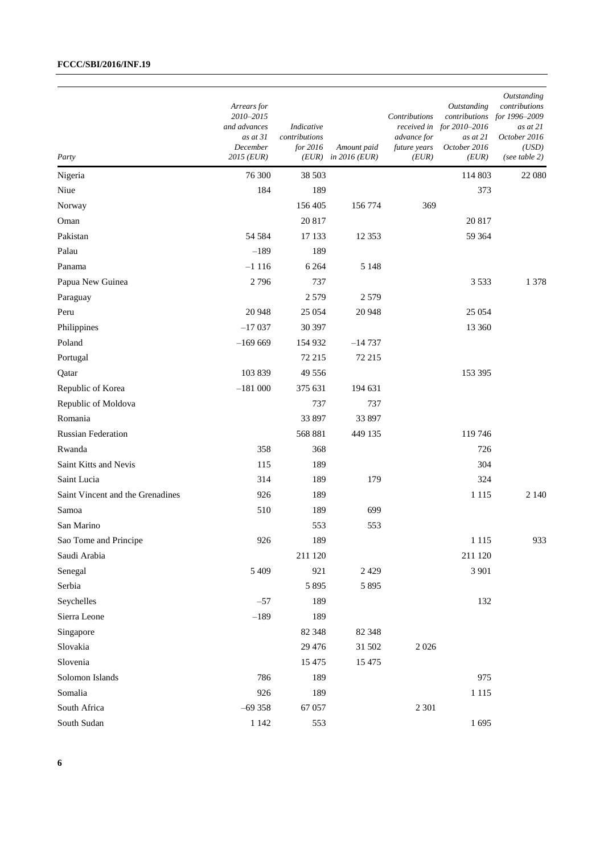| Party                            | Arrears for<br>2010-2015<br>and advances<br>as at 31<br>December<br>$2015$ (EUR) | Indicative<br>contributions<br>for 2016 | Amount paid<br>$(EUR)$ in 2016 (EUR) | Contributions<br>advance for<br>future years<br>(EUR) | Outstanding<br>contributions<br>received in for $2010-2016$<br>as at 21<br>October 2016<br>(EUR) | Outstanding<br>contributions<br>for 1996-2009<br>as at 21<br>October 2016<br>(USD)<br>(see table $2)$ |
|----------------------------------|----------------------------------------------------------------------------------|-----------------------------------------|--------------------------------------|-------------------------------------------------------|--------------------------------------------------------------------------------------------------|-------------------------------------------------------------------------------------------------------|
| Nigeria                          | 76 300                                                                           | 38 503                                  |                                      |                                                       | 114 803                                                                                          | 22 080                                                                                                |
| Niue                             | 184                                                                              | 189                                     |                                      |                                                       | 373                                                                                              |                                                                                                       |
| Norway                           |                                                                                  | 156 405                                 | 156 774                              | 369                                                   |                                                                                                  |                                                                                                       |
| Oman                             |                                                                                  | 20 817                                  |                                      |                                                       | 20 817                                                                                           |                                                                                                       |
| Pakistan                         | 54 584                                                                           | 17 133                                  | 12 3 5 3                             |                                                       | 59 364                                                                                           |                                                                                                       |
| Palau                            | $-189$                                                                           | 189                                     |                                      |                                                       |                                                                                                  |                                                                                                       |
| Panama                           | $-1116$                                                                          | 6 2 6 4                                 | 5 1 4 8                              |                                                       |                                                                                                  |                                                                                                       |
| Papua New Guinea                 | 2796                                                                             | 737                                     |                                      |                                                       | 3533                                                                                             | 1 3 7 8                                                                                               |
| Paraguay                         |                                                                                  | 2 5 7 9                                 | 2579                                 |                                                       |                                                                                                  |                                                                                                       |
| Peru                             | 20 948                                                                           | 25 0 54                                 | 20 948                               |                                                       | 25 0 54                                                                                          |                                                                                                       |
| Philippines                      | $-17037$                                                                         | 30 397                                  |                                      |                                                       | 13 360                                                                                           |                                                                                                       |
| Poland                           | $-169669$                                                                        | 154 932                                 | $-14737$                             |                                                       |                                                                                                  |                                                                                                       |
| Portugal                         |                                                                                  | 72 215                                  | 72 215                               |                                                       |                                                                                                  |                                                                                                       |
| Qatar                            | 103 839                                                                          | 49 55 6                                 |                                      |                                                       | 153 395                                                                                          |                                                                                                       |
| Republic of Korea                | $-181000$                                                                        | 375 631                                 | 194 631                              |                                                       |                                                                                                  |                                                                                                       |
| Republic of Moldova              |                                                                                  | 737                                     | 737                                  |                                                       |                                                                                                  |                                                                                                       |
| Romania                          |                                                                                  | 33 897                                  | 33 897                               |                                                       |                                                                                                  |                                                                                                       |
| <b>Russian Federation</b>        |                                                                                  | 568 881                                 | 449 135                              |                                                       | 119746                                                                                           |                                                                                                       |
| Rwanda                           | 358                                                                              | 368                                     |                                      |                                                       | 726                                                                                              |                                                                                                       |
| Saint Kitts and Nevis            | 115                                                                              | 189                                     |                                      |                                                       | 304                                                                                              |                                                                                                       |
| Saint Lucia                      | 314                                                                              | 189                                     | 179                                  |                                                       | 324                                                                                              |                                                                                                       |
| Saint Vincent and the Grenadines | 926                                                                              | 189                                     |                                      |                                                       | 1 1 1 5                                                                                          | 2 1 4 0                                                                                               |
| Samoa                            | 510                                                                              | 189                                     | 699                                  |                                                       |                                                                                                  |                                                                                                       |
| San Marino                       |                                                                                  | 553                                     | 553                                  |                                                       |                                                                                                  |                                                                                                       |
| Sao Tome and Principe            | 926                                                                              | 189                                     |                                      |                                                       | 1 1 1 5                                                                                          | 933                                                                                                   |
| Saudi Arabia                     |                                                                                  | 211 120                                 |                                      |                                                       | 211 120                                                                                          |                                                                                                       |
| Senegal                          | 5 4 0 9                                                                          | 921                                     | 2 4 2 9                              |                                                       | 3 9 0 1                                                                                          |                                                                                                       |
| Serbia                           |                                                                                  | 5 8 9 5                                 | 5 8 9 5                              |                                                       |                                                                                                  |                                                                                                       |
| Seychelles                       | $-57$                                                                            | 189                                     |                                      |                                                       | 132                                                                                              |                                                                                                       |
| Sierra Leone                     | $-189$                                                                           | 189                                     |                                      |                                                       |                                                                                                  |                                                                                                       |
| Singapore                        |                                                                                  | 82 348                                  | 82 348                               |                                                       |                                                                                                  |                                                                                                       |
| Slovakia                         |                                                                                  | 29 4 7 6                                | 31 502                               | $2\ 026$                                              |                                                                                                  |                                                                                                       |
| Slovenia                         |                                                                                  | 15 4 75                                 | 15 4 75                              |                                                       |                                                                                                  |                                                                                                       |
| Solomon Islands                  | 786                                                                              | 189                                     |                                      |                                                       | 975                                                                                              |                                                                                                       |
| Somalia                          | 926                                                                              | 189                                     |                                      |                                                       | 1 1 1 5                                                                                          |                                                                                                       |
| South Africa                     | $-69358$                                                                         | 67 057                                  |                                      | 2 3 0 1                                               |                                                                                                  |                                                                                                       |
| South Sudan                      | 1 1 4 2                                                                          | 553                                     |                                      |                                                       | 1695                                                                                             |                                                                                                       |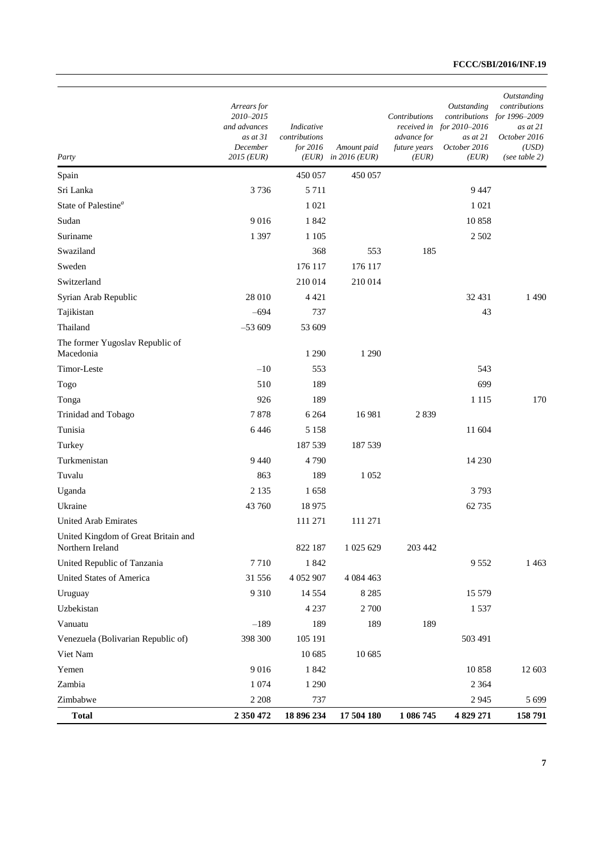| Party                                                   | Arrears for<br>2010-2015<br>and advances<br>as at 31<br>December<br>2015 (EUR) | Indicative<br>contributions<br>for 2016<br>(EUR) | Amount paid<br>in $2016$ (EUR) | Contributions<br>received in<br>advance for<br>future years<br>(EUR) | Outstanding<br>contributions<br>for 2010-2016<br>as at 21<br>October 2016<br>(EUR) | Outstanding<br>contributions<br>for 1996-2009<br>as at 21<br>October 2016<br>(USD)<br>(see table $2)$ |
|---------------------------------------------------------|--------------------------------------------------------------------------------|--------------------------------------------------|--------------------------------|----------------------------------------------------------------------|------------------------------------------------------------------------------------|-------------------------------------------------------------------------------------------------------|
| Spain                                                   |                                                                                | 450 057                                          | 450 057                        |                                                                      |                                                                                    |                                                                                                       |
| Sri Lanka                                               | 3736                                                                           | 5 7 1 1                                          |                                |                                                                      | 9447                                                                               |                                                                                                       |
| State of Palestine <sup>a</sup>                         |                                                                                | 1 0 2 1                                          |                                |                                                                      | 1 0 2 1                                                                            |                                                                                                       |
| Sudan                                                   | 9016                                                                           | 1842                                             |                                |                                                                      | 10858                                                                              |                                                                                                       |
| Suriname                                                | 1 3 9 7                                                                        | 1 1 0 5                                          |                                |                                                                      | 2 5 0 2                                                                            |                                                                                                       |
| Swaziland                                               |                                                                                | 368                                              | 553                            | 185                                                                  |                                                                                    |                                                                                                       |
| Sweden                                                  |                                                                                | 176 117                                          | 176 117                        |                                                                      |                                                                                    |                                                                                                       |
| Switzerland                                             |                                                                                | 210 014                                          | 210 014                        |                                                                      |                                                                                    |                                                                                                       |
| Syrian Arab Republic                                    | 28 010                                                                         | 4 4 2 1                                          |                                |                                                                      | 32 431                                                                             | 1490                                                                                                  |
| Tajikistan                                              | $-694$                                                                         | 737                                              |                                |                                                                      | 43                                                                                 |                                                                                                       |
| Thailand                                                | $-53609$                                                                       | 53 609                                           |                                |                                                                      |                                                                                    |                                                                                                       |
| The former Yugoslav Republic of<br>Macedonia            |                                                                                | 1 2 9 0                                          | 1 2 9 0                        |                                                                      |                                                                                    |                                                                                                       |
| Timor-Leste                                             | $-10$                                                                          | 553                                              |                                |                                                                      | 543                                                                                |                                                                                                       |
| Togo                                                    | 510                                                                            | 189                                              |                                |                                                                      | 699                                                                                |                                                                                                       |
| Tonga                                                   | 926                                                                            | 189                                              |                                |                                                                      | 1 1 1 5                                                                            | 170                                                                                                   |
| Trinidad and Tobago                                     | 7878                                                                           | 6 2 6 4                                          | 16981                          | 2839                                                                 |                                                                                    |                                                                                                       |
| Tunisia                                                 | 6446                                                                           | 5 1 5 8                                          |                                |                                                                      | 11 604                                                                             |                                                                                                       |
| Turkey                                                  |                                                                                | 187 539                                          | 187 539                        |                                                                      |                                                                                    |                                                                                                       |
| Turkmenistan                                            | 9 4 4 0                                                                        | 4790                                             |                                |                                                                      | 14 2 30                                                                            |                                                                                                       |
| Tuvalu                                                  | 863                                                                            | 189                                              | 1052                           |                                                                      |                                                                                    |                                                                                                       |
| Uganda                                                  | 2 1 3 5                                                                        | 1658                                             |                                |                                                                      | 3793                                                                               |                                                                                                       |
| Ukraine                                                 | 43 760                                                                         | 18 975                                           |                                |                                                                      | 62735                                                                              |                                                                                                       |
| <b>United Arab Emirates</b>                             |                                                                                | 111 271                                          | 111 271                        |                                                                      |                                                                                    |                                                                                                       |
| United Kingdom of Great Britain and<br>Northern Ireland |                                                                                | 822 187                                          | 1 025 629                      | 203 442                                                              |                                                                                    |                                                                                                       |
| United Republic of Tanzania                             | 7710                                                                           | 1842                                             |                                |                                                                      | 9552                                                                               | 1463                                                                                                  |
| United States of America                                | 31 556                                                                         | 4 052 907                                        | 4 0 8 4 4 6 3                  |                                                                      |                                                                                    |                                                                                                       |
| Uruguay                                                 | 9310                                                                           | 14 5 54                                          | 8 2 8 5                        |                                                                      | 15 5 79                                                                            |                                                                                                       |
| Uzbekistan                                              |                                                                                | 4 2 3 7                                          | 2 700                          |                                                                      | 1537                                                                               |                                                                                                       |
| Vanuatu                                                 | $-189$                                                                         | 189                                              | 189                            | 189                                                                  |                                                                                    |                                                                                                       |
| Venezuela (Bolivarian Republic of)                      | 398 300                                                                        | 105 191                                          |                                |                                                                      | 503 491                                                                            |                                                                                                       |
| Viet Nam                                                |                                                                                | 10 685                                           | 10 685                         |                                                                      |                                                                                    |                                                                                                       |
| Yemen                                                   | 9016                                                                           | 1842                                             |                                |                                                                      | 10858                                                                              | 12 603                                                                                                |
| Zambia                                                  | 1 0 7 4                                                                        | 1 2 9 0                                          |                                |                                                                      | 2 3 6 4                                                                            |                                                                                                       |
| Zimbabwe                                                | 2 2 0 8                                                                        | 737                                              |                                |                                                                      | 2945                                                                               | 5699                                                                                                  |
| <b>Total</b>                                            | 2 350 472                                                                      | 18 896 234                                       | 17 504 180                     | 1 086 745                                                            | 4 829 271                                                                          | 158 791                                                                                               |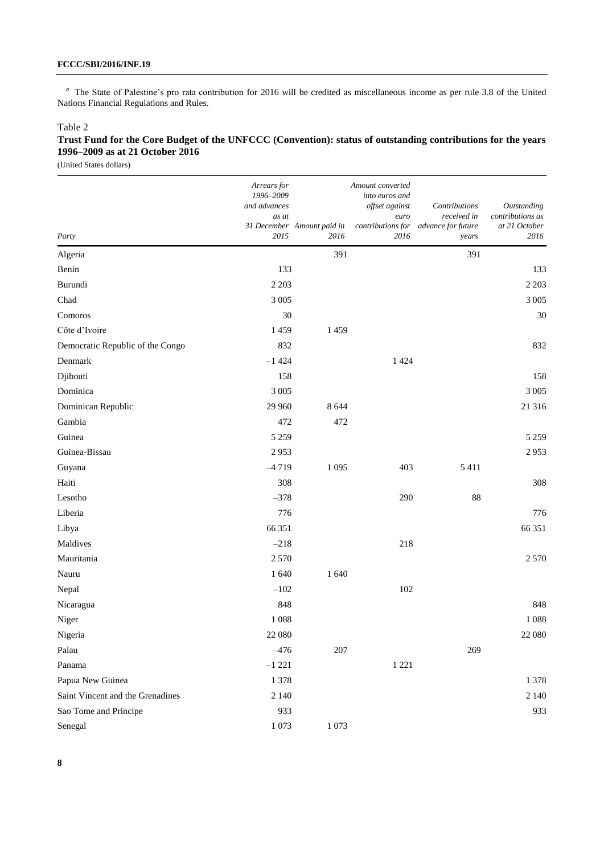<sup>a</sup> The State of Palestine's pro rata contribution for 2016 will be credited as miscellaneous income as per rule 3.8 of the United Nations Financial Regulations and Rules.

### Table 2

## **Trust Fund for the Core Budget of the UNFCCC (Convention): status of outstanding contributions for the years 1996–2009 as at 21 October 2016**

| Party                            | Arrears for<br>1996-2009<br>and advances<br>as at<br>2015 | 31 December Amount paid in<br>2016 | Amount converted<br>into euros and<br>offset against<br>euro<br>contributions for<br>2016 | Contributions<br>received in<br>advance for future<br>years | Outstanding<br>contributions as<br>at 21 October<br>2016 |
|----------------------------------|-----------------------------------------------------------|------------------------------------|-------------------------------------------------------------------------------------------|-------------------------------------------------------------|----------------------------------------------------------|
| Algeria                          |                                                           | 391                                |                                                                                           | 391                                                         |                                                          |
| Benin                            | 133                                                       |                                    |                                                                                           |                                                             | 133                                                      |
| Burundi                          | 2 2 0 3                                                   |                                    |                                                                                           |                                                             | 2 2 0 3                                                  |
| Chad                             | 3 0 0 5                                                   |                                    |                                                                                           |                                                             | 3 0 0 5                                                  |
| Comoros                          | 30                                                        |                                    |                                                                                           |                                                             | 30                                                       |
| Côte d'Ivoire                    | 1459                                                      | 1459                               |                                                                                           |                                                             |                                                          |
| Democratic Republic of the Congo | 832                                                       |                                    |                                                                                           |                                                             | 832                                                      |
| Denmark                          | $-1424$                                                   |                                    | 1 4 2 4                                                                                   |                                                             |                                                          |
| Djibouti                         | 158                                                       |                                    |                                                                                           |                                                             | 158                                                      |
| Dominica                         | 3 0 0 5                                                   |                                    |                                                                                           |                                                             | 3 0 0 5                                                  |
| Dominican Republic               | 29 960                                                    | 8 6 4 4                            |                                                                                           |                                                             | 21 316                                                   |
| Gambia                           | 472                                                       | 472                                |                                                                                           |                                                             |                                                          |
| Guinea                           | 5 2 5 9                                                   |                                    |                                                                                           |                                                             | 5 2 5 9                                                  |
| Guinea-Bissau                    | 2953                                                      |                                    |                                                                                           |                                                             | 2953                                                     |
| Guyana                           | $-4719$                                                   | 1 0 9 5                            | 403                                                                                       | 5411                                                        |                                                          |
| Haiti                            | 308                                                       |                                    |                                                                                           |                                                             | 308                                                      |
| Lesotho                          | $-378$                                                    |                                    | 290                                                                                       | 88                                                          |                                                          |
| Liberia                          | 776                                                       |                                    |                                                                                           |                                                             | 776                                                      |
| Libya                            | 66 351                                                    |                                    |                                                                                           |                                                             | 66 351                                                   |
| Maldives                         | $-218$                                                    |                                    | 218                                                                                       |                                                             |                                                          |
| Mauritania                       | 2 5 7 0                                                   |                                    |                                                                                           |                                                             | 2 5 7 0                                                  |
| Nauru                            | 1 640                                                     | 1 640                              |                                                                                           |                                                             |                                                          |
| Nepal                            | $-102$                                                    |                                    | 102                                                                                       |                                                             |                                                          |
| Nicaragua                        | 848                                                       |                                    |                                                                                           |                                                             | 848                                                      |
| Niger                            | 1088                                                      |                                    |                                                                                           |                                                             | 1088                                                     |
| Nigeria                          | 22 080                                                    |                                    |                                                                                           |                                                             | 22 080                                                   |
| Palau                            | $-476$                                                    | $207\,$                            |                                                                                           | 269                                                         |                                                          |
| Panama                           | $-1221$                                                   |                                    | 1 2 2 1                                                                                   |                                                             |                                                          |
| Papua New Guinea                 | 1378                                                      |                                    |                                                                                           |                                                             | 1 3 7 8                                                  |
| Saint Vincent and the Grenadines | 2 1 4 0                                                   |                                    |                                                                                           |                                                             | 2 1 4 0                                                  |
| Sao Tome and Principe            | 933                                                       |                                    |                                                                                           |                                                             | 933                                                      |
| Senegal                          | 1073                                                      | 1 0 7 3                            |                                                                                           |                                                             |                                                          |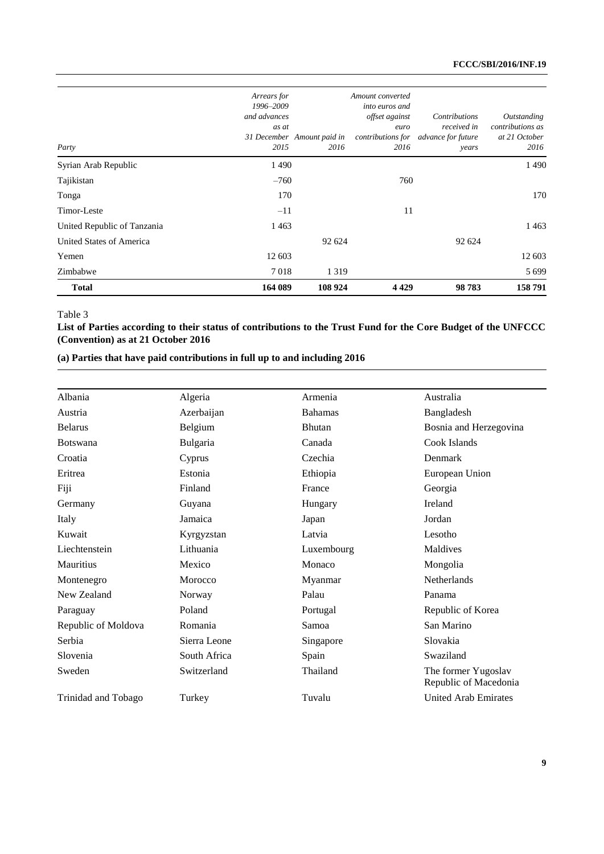| <b>Total</b>                | 164 089                                                   | 108 924                            | 4 4 2 9                                                              | 98783                                                                         | 158791                                                   |
|-----------------------------|-----------------------------------------------------------|------------------------------------|----------------------------------------------------------------------|-------------------------------------------------------------------------------|----------------------------------------------------------|
| Zimbabwe                    | 7018                                                      | 1 3 1 9                            |                                                                      |                                                                               | 5699                                                     |
| Yemen                       | 12 603                                                    |                                    |                                                                      |                                                                               | 12 603                                                   |
| United States of America    |                                                           | 92 624                             |                                                                      | 92 624                                                                        |                                                          |
| United Republic of Tanzania | 1463                                                      |                                    |                                                                      |                                                                               | 1463                                                     |
| Timor-Leste                 | $-11$                                                     |                                    | 11                                                                   |                                                                               |                                                          |
| Tonga                       | 170                                                       |                                    |                                                                      |                                                                               | 170                                                      |
| Tajikistan                  | $-760$                                                    |                                    | 760                                                                  |                                                                               |                                                          |
| Syrian Arab Republic        | 1490                                                      |                                    |                                                                      |                                                                               | 1490                                                     |
| Party                       | Arrears for<br>1996-2009<br>and advances<br>as at<br>2015 | 31 December Amount paid in<br>2016 | Amount converted<br>into euros and<br>offset against<br>euro<br>2016 | Contributions<br>received in<br>contributions for advance for future<br>years | Outstanding<br>contributions as<br>at 21 October<br>2016 |

#### Table 3

**List of Parties according to their status of contributions to the Trust Fund for the Core Budget of the UNFCCC (Convention) as at 21 October 2016**

### **(a) Parties that have paid contributions in full up to and including 2016**

| Albania             | Algeria      | Armenia        | Australia                                    |
|---------------------|--------------|----------------|----------------------------------------------|
| Austria             | Azerbaijan   | <b>Bahamas</b> | Bangladesh                                   |
| <b>Belarus</b>      | Belgium      | <b>Bhutan</b>  | Bosnia and Herzegovina                       |
| <b>Botswana</b>     | Bulgaria     | Canada         | Cook Islands                                 |
| Croatia             | Cyprus       | Czechia        | Denmark                                      |
| Eritrea             | Estonia      | Ethiopia       | European Union                               |
| Fiji                | Finland      | France         | Georgia                                      |
| Germany             | Guyana       | Hungary        | Ireland                                      |
| Italy               | Jamaica      | Japan          | Jordan                                       |
| Kuwait              | Kyrgyzstan   | Latvia         | Lesotho                                      |
| Liechtenstein       | Lithuania    | Luxembourg     | Maldives                                     |
| Mauritius           | Mexico       | Monaco         | Mongolia                                     |
| Montenegro          | Morocco      | Myanmar        | <b>Netherlands</b>                           |
| New Zealand         | Norway       | Palau          | Panama                                       |
| Paraguay            | Poland       | Portugal       | Republic of Korea                            |
| Republic of Moldova | Romania      | Samoa          | San Marino                                   |
| Serbia              | Sierra Leone | Singapore      | Slovakia                                     |
| Slovenia            | South Africa | Spain          | Swaziland                                    |
| Sweden              | Switzerland  | Thailand       | The former Yugoslav<br>Republic of Macedonia |
| Trinidad and Tobago | Turkey       | Tuvalu         | <b>United Arab Emirates</b>                  |
|                     |              |                |                                              |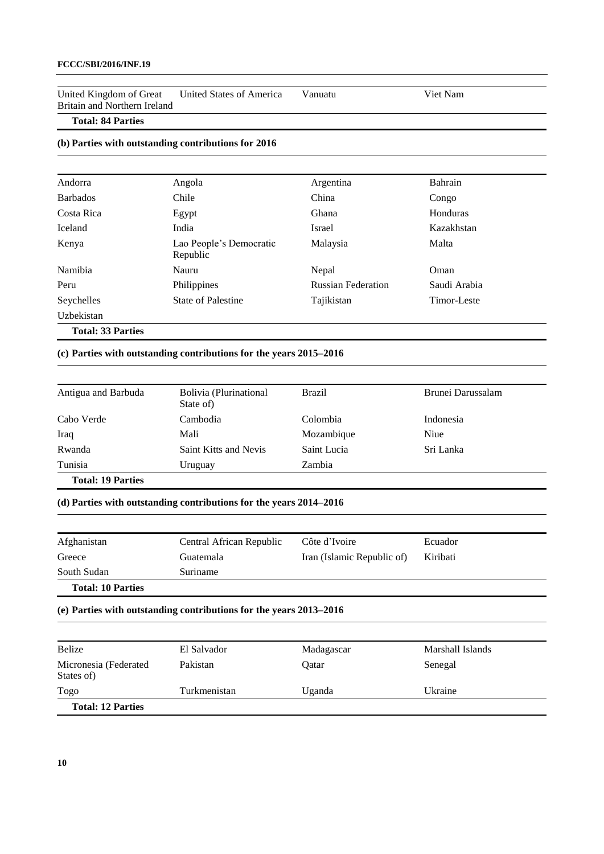United Kingdom of Great Britain and Northern Ireland United States of America Vanuatu Viet Nam

### **Total: 84 Parties**

### **(b) Parties with outstanding contributions for 2016**

| Andorra                  | Angola                              | Argentina                 | Bahrain      |
|--------------------------|-------------------------------------|---------------------------|--------------|
| <b>Barbados</b>          | Chile                               | China                     | Congo        |
| Costa Rica               | Egypt                               | Ghana                     | Honduras     |
| Iceland                  | India                               | Israel                    | Kazakhstan   |
| Kenya                    | Lao People's Democratic<br>Republic | Malaysia                  | Malta        |
| Namibia                  | Nauru                               | Nepal                     | Oman         |
| Peru                     | Philippines                         | <b>Russian Federation</b> | Saudi Arabia |
| Seychelles               | <b>State of Palestine</b>           | Tajikistan                | Timor-Leste  |
| Uzbekistan               |                                     |                           |              |
| <b>Total: 33 Parties</b> |                                     |                           |              |

**(c) Parties with outstanding contributions for the years 2015–2016** 

| Antigua and Barbuda      | Bolivia (Plurinational<br>State of) | <b>Brazil</b> | Brunei Darussalam |
|--------------------------|-------------------------------------|---------------|-------------------|
| Cabo Verde               | Cambodia                            | Colombia      | Indonesia         |
| Iraq                     | Mali                                | Mozambique    | Niue              |
| Rwanda                   | Saint Kitts and Nevis               | Saint Lucia   | Sri Lanka         |
| Tunisia                  | Uruguay                             | Zambia        |                   |
| <b>Total: 19 Parties</b> |                                     |               |                   |

**(d) Parties with outstanding contributions for the years 2014–2016** 

| Afghanistan              | Central African Republic | Côte d'Ivoire              | Ecuador  |
|--------------------------|--------------------------|----------------------------|----------|
| Greece                   | Guatemala                | Iran (Islamic Republic of) | Kiribati |
| South Sudan              | Suriname                 |                            |          |
| <b>Total: 10 Parties</b> |                          |                            |          |

**(e) Parties with outstanding contributions for the years 2013–2016** 

| Belize                              | El Salvador  | Madagascar | Marshall Islands |
|-------------------------------------|--------------|------------|------------------|
| Micronesia (Federated<br>States of) | Pakistan     | Oatar      | Senegal          |
| Togo                                | Turkmenistan | Uganda     | Ukraine          |
| <b>Total: 12 Parties</b>            |              |            |                  |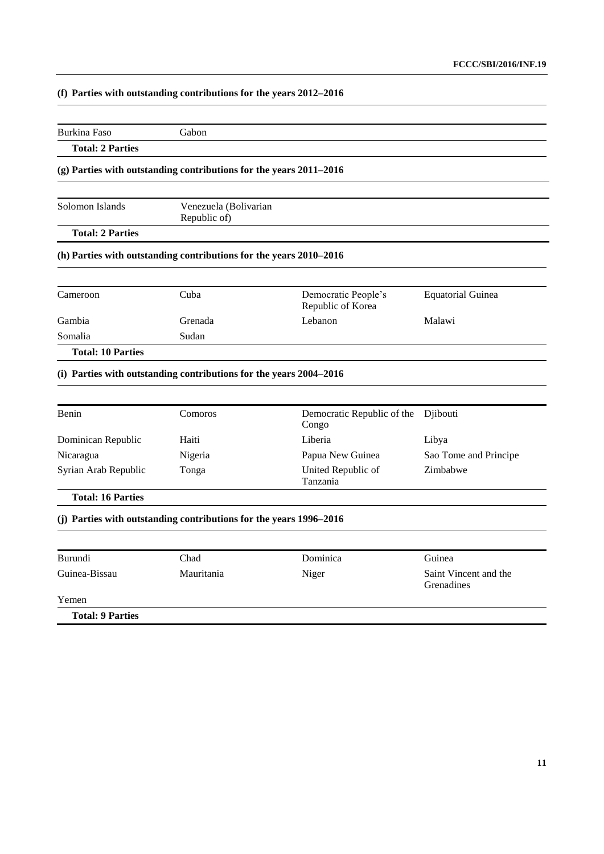# **(f) Parties with outstanding contributions for the years 2012–2016**

| Burkina Faso                                                     | Gabon                                                                         |                                          |                                     |
|------------------------------------------------------------------|-------------------------------------------------------------------------------|------------------------------------------|-------------------------------------|
| <b>Total: 2 Parties</b>                                          |                                                                               |                                          |                                     |
|                                                                  | (g) Parties with outstanding contributions for the years 2011-2016            |                                          |                                     |
| Solomon Islands                                                  | Venezuela (Bolivarian<br>Republic of)                                         |                                          |                                     |
| <b>Total: 2 Parties</b>                                          |                                                                               |                                          |                                     |
|                                                                  | (h) Parties with outstanding contributions for the years 2010-2016            |                                          |                                     |
| Cameroon                                                         | Cuba                                                                          | Democratic People's<br>Republic of Korea | <b>Equatorial Guinea</b>            |
| Gambia                                                           | Grenada                                                                       | Lebanon                                  | Malawi                              |
| Somalia                                                          | Sudan                                                                         |                                          |                                     |
|                                                                  |                                                                               |                                          |                                     |
| <b>Total: 10 Parties</b>                                         |                                                                               |                                          |                                     |
|                                                                  | (i) Parties with outstanding contributions for the years 2004-2016<br>Comoros | Democratic Republic of the<br>Congo      | Djibouti                            |
|                                                                  | Haiti                                                                         | Liberia                                  | Libya                               |
|                                                                  | Nigeria                                                                       | Papua New Guinea                         | Sao Tome and Principe               |
| Benin<br>Dominican Republic<br>Nicaragua<br>Syrian Arab Republic | Tonga                                                                         | United Republic of<br>Tanzania           | Zimbabwe                            |
| <b>Total: 16 Parties</b>                                         |                                                                               |                                          |                                     |
|                                                                  | (j) Parties with outstanding contributions for the years 1996–2016            |                                          |                                     |
|                                                                  | Chad                                                                          | Dominica                                 | Guinea                              |
| Burundi<br>Guinea-Bissau                                         | Mauritania                                                                    | Niger                                    | Saint Vincent and the<br>Grenadines |
| Yemen                                                            |                                                                               |                                          |                                     |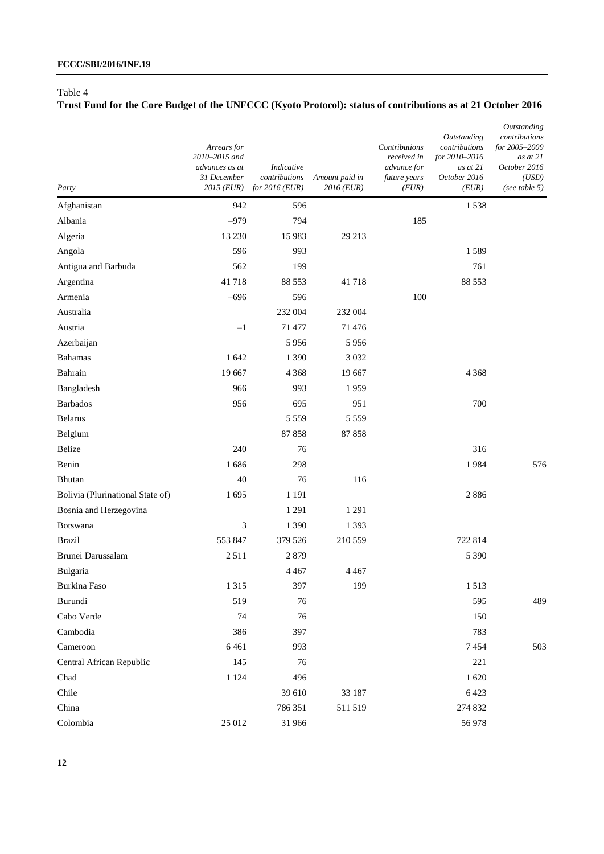### Table 4

# **Trust Fund for the Core Budget of the UNFCCC (Kyoto Protocol): status of contributions as at 21 October 2016**

| Party                            | Arrears for<br>2010-2015 and<br>advances as at<br>31 December<br>2015 (EUR) | Indicative<br>contributions<br>for $2016$ (EUR) | Amount paid in<br>2016 (EUR) | Contributions<br>received in<br>advance for<br>future years<br>(EUR) | Outstanding<br>contributions<br>for 2010-2016<br>as at 21<br>October 2016<br>(EUR) | Outstanding<br>contributions<br>for 2005-2009<br>as at 21<br>October 2016<br>(USD)<br>(see table $5)$ |
|----------------------------------|-----------------------------------------------------------------------------|-------------------------------------------------|------------------------------|----------------------------------------------------------------------|------------------------------------------------------------------------------------|-------------------------------------------------------------------------------------------------------|
| Afghanistan                      | 942                                                                         | 596                                             |                              |                                                                      | 1538                                                                               |                                                                                                       |
| Albania                          | $-979$                                                                      | 794                                             |                              | 185                                                                  |                                                                                    |                                                                                                       |
| Algeria                          | 13 230                                                                      | 15 983                                          | 29 213                       |                                                                      |                                                                                    |                                                                                                       |
| Angola                           | 596                                                                         | 993                                             |                              |                                                                      | 1589                                                                               |                                                                                                       |
| Antigua and Barbuda              | 562                                                                         | 199                                             |                              |                                                                      | 761                                                                                |                                                                                                       |
| Argentina                        | 41718                                                                       | 88 5 53                                         | 41718                        |                                                                      | 88 553                                                                             |                                                                                                       |
| Armenia                          | $-696$                                                                      | 596                                             |                              | 100                                                                  |                                                                                    |                                                                                                       |
| Australia                        |                                                                             | 232 004                                         | 232 004                      |                                                                      |                                                                                    |                                                                                                       |
| Austria                          | $-1$                                                                        | 71 477                                          | 71 476                       |                                                                      |                                                                                    |                                                                                                       |
| Azerbaijan                       |                                                                             | 5956                                            | 5956                         |                                                                      |                                                                                    |                                                                                                       |
| <b>Bahamas</b>                   | 1 642                                                                       | 1 3 9 0                                         | 3 0 3 2                      |                                                                      |                                                                                    |                                                                                                       |
| Bahrain                          | 19 667                                                                      | 4 3 6 8                                         | 19 667                       |                                                                      | 4 3 6 8                                                                            |                                                                                                       |
| Bangladesh                       | 966                                                                         | 993                                             | 1959                         |                                                                      |                                                                                    |                                                                                                       |
| <b>Barbados</b>                  | 956                                                                         | 695                                             | 951                          |                                                                      | 700                                                                                |                                                                                                       |
| <b>Belarus</b>                   |                                                                             | 5 5 5 9                                         | 5 5 5 9                      |                                                                      |                                                                                    |                                                                                                       |
| Belgium                          |                                                                             | 87858                                           | 87858                        |                                                                      |                                                                                    |                                                                                                       |
| Belize                           | 240                                                                         | 76                                              |                              |                                                                      | 316                                                                                |                                                                                                       |
| Benin                            | 1686                                                                        | 298                                             |                              |                                                                      | 1984                                                                               | 576                                                                                                   |
| Bhutan                           | 40                                                                          | 76                                              | 116                          |                                                                      |                                                                                    |                                                                                                       |
| Bolivia (Plurinational State of) | 1695                                                                        | 1 1 9 1                                         |                              |                                                                      | 2886                                                                               |                                                                                                       |
| Bosnia and Herzegovina           |                                                                             | 1291                                            | 1 2 9 1                      |                                                                      |                                                                                    |                                                                                                       |
| Botswana                         | 3                                                                           | 1 3 9 0                                         | 1 3 9 3                      |                                                                      |                                                                                    |                                                                                                       |
| <b>Brazil</b>                    | 553 847                                                                     | 379 526                                         | 210 559                      |                                                                      | 722 814                                                                            |                                                                                                       |
| Brunei Darussalam                | 2511                                                                        | 2879                                            |                              |                                                                      | 5 3 9 0                                                                            |                                                                                                       |
| Bulgaria                         |                                                                             | 4 4 6 7                                         | 4 4 6 7                      |                                                                      |                                                                                    |                                                                                                       |
| Burkina Faso                     | 1 3 1 5                                                                     | 397                                             | 199                          |                                                                      | 1513                                                                               |                                                                                                       |
| Burundi                          | 519                                                                         | 76                                              |                              |                                                                      | 595                                                                                | 489                                                                                                   |
| Cabo Verde                       | 74                                                                          | 76                                              |                              |                                                                      | 150                                                                                |                                                                                                       |
| Cambodia                         | 386                                                                         | 397                                             |                              |                                                                      | 783                                                                                |                                                                                                       |
| Cameroon                         | 6461                                                                        | 993                                             |                              |                                                                      | 7454                                                                               | 503                                                                                                   |
| Central African Republic         | 145                                                                         | 76                                              |                              |                                                                      | 221                                                                                |                                                                                                       |
| Chad                             | 1 1 2 4                                                                     | 496                                             |                              |                                                                      | 1620                                                                               |                                                                                                       |
| Chile                            |                                                                             | 39 610                                          | 33 187                       |                                                                      | 6423                                                                               |                                                                                                       |
| China                            |                                                                             | 786 351                                         | 511 519                      |                                                                      | 274 832                                                                            |                                                                                                       |
| Colombia                         | 25 012                                                                      | 31 966                                          |                              |                                                                      | 56 978                                                                             |                                                                                                       |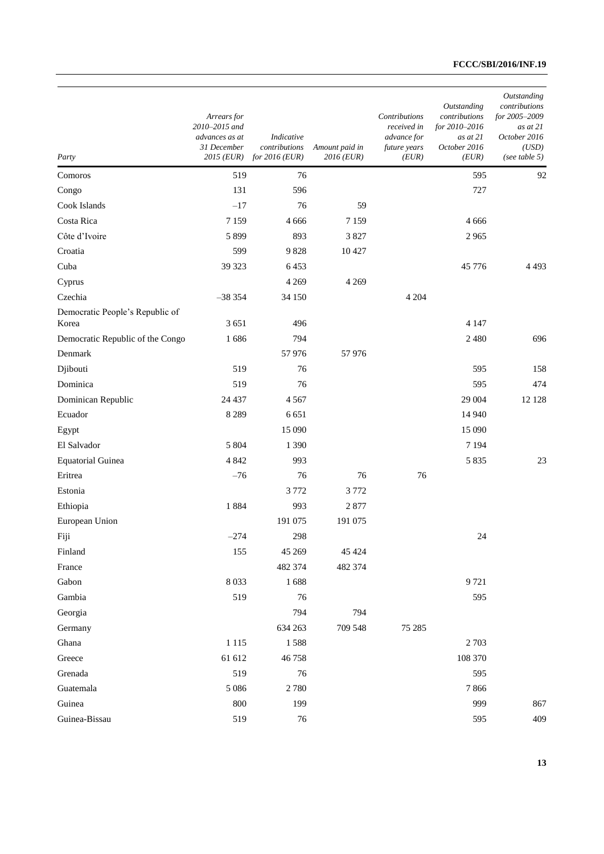| Party                                    | Arrears for<br>2010-2015 and<br>advances as at<br>31 December<br>2015 (EUR) | Indicative<br>contributions<br>for $2016$ (EUR) | Amount paid in<br>2016 (EUR) | Contributions<br>received in<br>advance for<br>future years<br>(EUR) | Outstanding<br>contributions<br>for 2010-2016<br>as at 21<br>October 2016<br>(EUR) | Outstanding<br>contributions<br>for 2005-2009<br>as at 21<br>October 2016<br>(USD)<br>(see table $5)$ |
|------------------------------------------|-----------------------------------------------------------------------------|-------------------------------------------------|------------------------------|----------------------------------------------------------------------|------------------------------------------------------------------------------------|-------------------------------------------------------------------------------------------------------|
| Comoros                                  | 519                                                                         | 76                                              |                              |                                                                      | 595                                                                                | 92                                                                                                    |
| Congo                                    | 131                                                                         | 596                                             |                              |                                                                      | 727                                                                                |                                                                                                       |
| Cook Islands                             | $-17$                                                                       | 76                                              | 59                           |                                                                      |                                                                                    |                                                                                                       |
| Costa Rica                               | 7 1 5 9                                                                     | 4 6 6 6                                         | 7 1 5 9                      |                                                                      | 4 6 6 6                                                                            |                                                                                                       |
| Côte d'Ivoire                            | 5899                                                                        | 893                                             | 3827                         |                                                                      | 2965                                                                               |                                                                                                       |
| Croatia                                  | 599                                                                         | 9828                                            | 10 4 27                      |                                                                      |                                                                                    |                                                                                                       |
| Cuba                                     | 39 323                                                                      | 6453                                            |                              |                                                                      | 45 776                                                                             | 4 4 9 3                                                                                               |
| Cyprus                                   |                                                                             | 4 2 6 9                                         | 4 2 6 9                      |                                                                      |                                                                                    |                                                                                                       |
| Czechia                                  | $-38354$                                                                    | 34 150                                          |                              | 4 2 0 4                                                              |                                                                                    |                                                                                                       |
| Democratic People's Republic of<br>Korea | 3651                                                                        | 496                                             |                              |                                                                      | 4 1 4 7                                                                            |                                                                                                       |
| Democratic Republic of the Congo         | 1686                                                                        | 794                                             |                              |                                                                      | 2 4 8 0                                                                            | 696                                                                                                   |
| Denmark                                  |                                                                             | 57976                                           | 57976                        |                                                                      |                                                                                    |                                                                                                       |
| Djibouti                                 | 519                                                                         | 76                                              |                              |                                                                      | 595                                                                                | 158                                                                                                   |
| Dominica                                 | 519                                                                         | 76                                              |                              |                                                                      | 595                                                                                | 474                                                                                                   |
| Dominican Republic                       | 24 437                                                                      | 4567                                            |                              |                                                                      | 29 004                                                                             | 12 12 8                                                                                               |
| Ecuador                                  | 8 2 8 9                                                                     | 6651                                            |                              |                                                                      | 14 940                                                                             |                                                                                                       |
| Egypt                                    |                                                                             | 15 090                                          |                              |                                                                      | 15 090                                                                             |                                                                                                       |
| El Salvador                              | 5 804                                                                       | 1 3 9 0                                         |                              |                                                                      | 7 1 9 4                                                                            |                                                                                                       |
| <b>Equatorial Guinea</b>                 | 4 8 4 2                                                                     | 993                                             |                              |                                                                      | 5 8 3 5                                                                            | 23                                                                                                    |
| Eritrea                                  | $-76$                                                                       | 76                                              | 76                           | 76                                                                   |                                                                                    |                                                                                                       |
| Estonia                                  |                                                                             | 3772                                            | 3772                         |                                                                      |                                                                                    |                                                                                                       |
| Ethiopia                                 | 1884                                                                        | 993                                             | 2877                         |                                                                      |                                                                                    |                                                                                                       |
| European Union                           |                                                                             | 191 075                                         | 191 075                      |                                                                      |                                                                                    |                                                                                                       |
| Fiji                                     | $-274$                                                                      | 298                                             |                              |                                                                      | 24                                                                                 |                                                                                                       |
| Finland                                  | 155                                                                         | 45 269                                          | 45 424                       |                                                                      |                                                                                    |                                                                                                       |
| France                                   |                                                                             | 482 374                                         | 482 374                      |                                                                      |                                                                                    |                                                                                                       |
| Gabon                                    | 8 0 3 3                                                                     | 1688                                            |                              |                                                                      | 9721                                                                               |                                                                                                       |
| Gambia                                   | 519                                                                         | 76                                              |                              |                                                                      | 595                                                                                |                                                                                                       |
| Georgia                                  |                                                                             | 794                                             | 794                          |                                                                      |                                                                                    |                                                                                                       |
| Germany                                  |                                                                             | 634 263                                         | 709 548                      | 75 285                                                               |                                                                                    |                                                                                                       |
| Ghana                                    | 1 1 1 5                                                                     | 1588                                            |                              |                                                                      | 2 7 0 3                                                                            |                                                                                                       |
| Greece                                   | 61 612                                                                      | 46758                                           |                              |                                                                      | 108 370                                                                            |                                                                                                       |
| Grenada                                  | 519                                                                         | 76                                              |                              |                                                                      | 595                                                                                |                                                                                                       |
| Guatemala                                | 5 0 8 6                                                                     | 2780                                            |                              |                                                                      | 7866                                                                               |                                                                                                       |
| Guinea                                   | 800                                                                         | 199                                             |                              |                                                                      | 999                                                                                | 867                                                                                                   |
| Guinea-Bissau                            | 519                                                                         | $76\,$                                          |                              |                                                                      | 595                                                                                | 409                                                                                                   |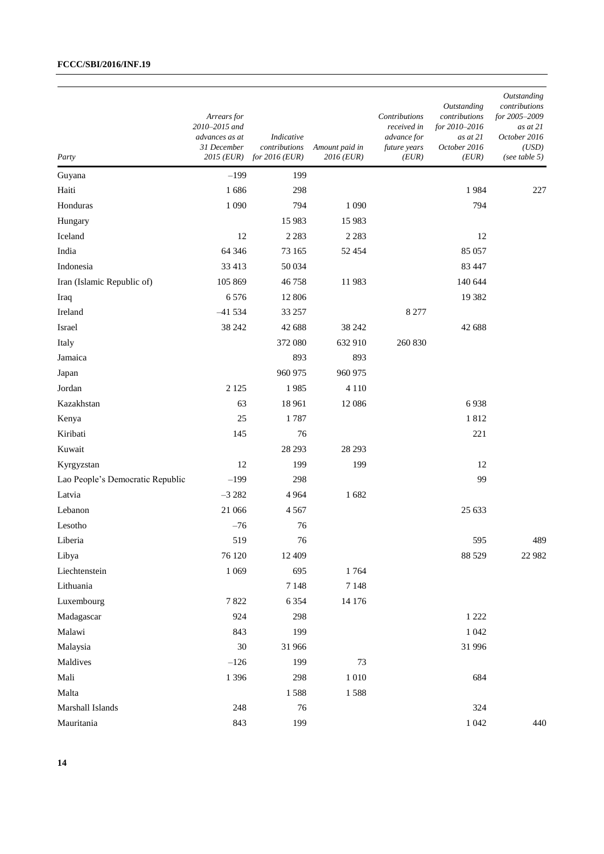| Party                            | Arrears for<br>2010-2015 and<br>advances as at<br>31 December<br>2015 (EUR) | Indicative<br>contributions<br>for $2016$ (EUR) | Amount paid in<br>2016 (EUR) | Contributions<br>received in<br>advance for<br>future years<br>(EUR) | Outstanding<br>contributions<br>for 2010–2016<br>as at 21<br>October 2016<br>(EUR) | Outstanding<br>contributions<br>for 2005-2009<br>as at 21<br>October 2016<br>(USD)<br>(see table 5) |
|----------------------------------|-----------------------------------------------------------------------------|-------------------------------------------------|------------------------------|----------------------------------------------------------------------|------------------------------------------------------------------------------------|-----------------------------------------------------------------------------------------------------|
| Guyana                           | $-199$                                                                      | 199                                             |                              |                                                                      |                                                                                    |                                                                                                     |
| Haiti                            | 1686                                                                        | 298                                             |                              |                                                                      | 1984                                                                               | 227                                                                                                 |
| Honduras                         | 1 0 9 0                                                                     | 794                                             | 1 0 9 0                      |                                                                      | 794                                                                                |                                                                                                     |
| Hungary                          |                                                                             | 15 9 83                                         | 15 983                       |                                                                      |                                                                                    |                                                                                                     |
| Iceland                          | 12                                                                          | 2 2 8 3                                         | 2 2 8 3                      |                                                                      | 12                                                                                 |                                                                                                     |
| India                            | 64 34 6                                                                     | 73 165                                          | 52 4 54                      |                                                                      | 85 057                                                                             |                                                                                                     |
| Indonesia                        | 33 413                                                                      | 50 034                                          |                              |                                                                      | 83 447                                                                             |                                                                                                     |
| Iran (Islamic Republic of)       | 105 869                                                                     | 46758                                           | 11983                        |                                                                      | 140 644                                                                            |                                                                                                     |
| Iraq                             | 6576                                                                        | 12 806                                          |                              |                                                                      | 19 3 82                                                                            |                                                                                                     |
| Ireland                          | $-41534$                                                                    | 33 257                                          |                              | 8 2 7 7                                                              |                                                                                    |                                                                                                     |
| Israel                           | 38 24 2                                                                     | 42 688                                          | 38 24 2                      |                                                                      | 42 688                                                                             |                                                                                                     |
| Italy                            |                                                                             | 372 080                                         | 632 910                      | 260 830                                                              |                                                                                    |                                                                                                     |
| Jamaica                          |                                                                             | 893                                             | 893                          |                                                                      |                                                                                    |                                                                                                     |
| Japan                            |                                                                             | 960 975                                         | 960 975                      |                                                                      |                                                                                    |                                                                                                     |
| Jordan                           | 2 1 2 5                                                                     | 1985                                            | 4 1 1 0                      |                                                                      |                                                                                    |                                                                                                     |
| Kazakhstan                       | 63                                                                          | 18 961                                          | 12 08 6                      |                                                                      | 6938                                                                               |                                                                                                     |
| Kenya                            | 25                                                                          | 1787                                            |                              |                                                                      | 1812                                                                               |                                                                                                     |
| Kiribati                         | 145                                                                         | 76                                              |                              |                                                                      | 221                                                                                |                                                                                                     |
| Kuwait                           |                                                                             | 28 29 3                                         | 28 29 3                      |                                                                      |                                                                                    |                                                                                                     |
| Kyrgyzstan                       | 12                                                                          | 199                                             | 199                          |                                                                      | 12                                                                                 |                                                                                                     |
| Lao People's Democratic Republic | $-199$                                                                      | 298                                             |                              |                                                                      | 99                                                                                 |                                                                                                     |
| Latvia                           | $-3282$                                                                     | 4964                                            | 1682                         |                                                                      |                                                                                    |                                                                                                     |
| Lebanon                          | 21 066                                                                      | 4567                                            |                              |                                                                      | 25 633                                                                             |                                                                                                     |
| Lesotho                          | $-76$                                                                       | 76                                              |                              |                                                                      |                                                                                    |                                                                                                     |
| Liberia                          | 519                                                                         | 76                                              |                              |                                                                      | 595                                                                                | 489                                                                                                 |
| Libya                            | 76 120                                                                      | 12 409                                          |                              |                                                                      | 88 5 29                                                                            | 22 982                                                                                              |
| Liechtenstein                    | 1 0 6 9                                                                     | 695                                             | 1764                         |                                                                      |                                                                                    |                                                                                                     |
| Lithuania                        |                                                                             | 7 1 4 8                                         | 7 1 4 8                      |                                                                      |                                                                                    |                                                                                                     |
| Luxembourg                       | 7822                                                                        | 6 3 5 4                                         | 14 176                       |                                                                      |                                                                                    |                                                                                                     |
| Madagascar                       | 924                                                                         | 298                                             |                              |                                                                      | 1 2 2 2                                                                            |                                                                                                     |
| Malawi                           | 843                                                                         | 199                                             |                              |                                                                      | $1\,042$                                                                           |                                                                                                     |
| Malaysia                         | 30                                                                          | 31 966                                          |                              |                                                                      | 31 996                                                                             |                                                                                                     |
| Maldives                         | $-126$                                                                      | 199                                             | 73                           |                                                                      |                                                                                    |                                                                                                     |
| Mali                             | 1 3 9 6                                                                     | 298                                             | $1\;010$                     |                                                                      | 684                                                                                |                                                                                                     |
| Malta                            |                                                                             | 1588                                            | 1588                         |                                                                      |                                                                                    |                                                                                                     |
| Marshall Islands                 | 248                                                                         | 76                                              |                              |                                                                      | 324                                                                                |                                                                                                     |
| Mauritania                       | 843                                                                         | 199                                             |                              |                                                                      | 1 0 4 2                                                                            | 440                                                                                                 |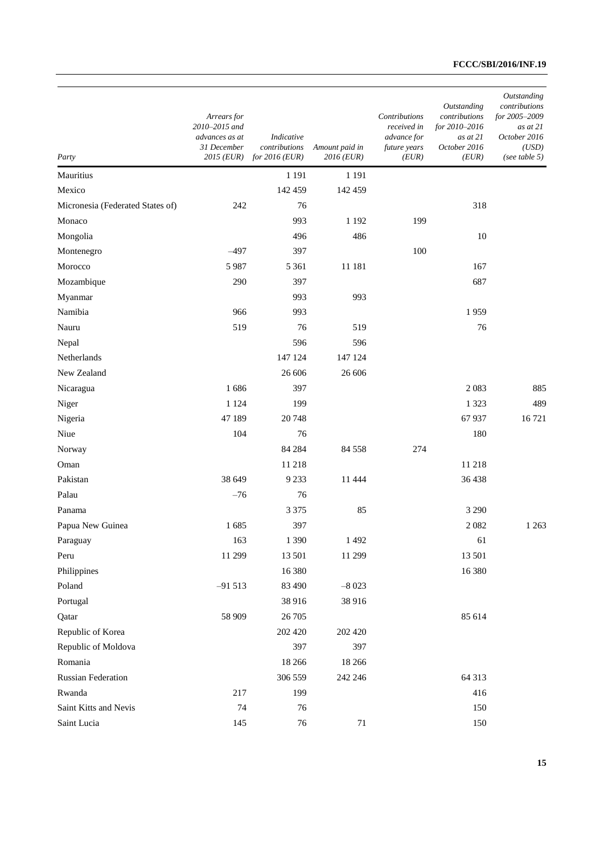| Party                            | Arrears for<br>2010-2015 and<br>advances as at<br>31 December<br>2015 (EUR) | Indicative<br>contributions<br>for $2016$ (EUR) | Amount paid in<br>2016 (EUR) | Contributions<br>received in<br>advance for<br>future years<br>(EUR) | Outstanding<br>contributions<br>for 2010-2016<br>as at 21<br>October 2016<br>(EUR) | Outstanding<br>contributions<br>for 2005-2009<br>as at 21<br>October 2016<br>(USD)<br>(see table $5)$ |
|----------------------------------|-----------------------------------------------------------------------------|-------------------------------------------------|------------------------------|----------------------------------------------------------------------|------------------------------------------------------------------------------------|-------------------------------------------------------------------------------------------------------|
| Mauritius                        |                                                                             | 1 1 9 1                                         | 1 1 9 1                      |                                                                      |                                                                                    |                                                                                                       |
| Mexico                           |                                                                             | 142 459                                         | 142 459                      |                                                                      |                                                                                    |                                                                                                       |
| Micronesia (Federated States of) | 242                                                                         | 76                                              |                              |                                                                      | 318                                                                                |                                                                                                       |
| Monaco                           |                                                                             | 993                                             | 1 1 9 2                      | 199                                                                  |                                                                                    |                                                                                                       |
| Mongolia                         |                                                                             | 496                                             | 486                          |                                                                      | 10                                                                                 |                                                                                                       |
| Montenegro                       | $-497$                                                                      | 397                                             |                              | 100                                                                  |                                                                                    |                                                                                                       |
| Morocco                          | 5987                                                                        | 5 3 6 1                                         | 11 181                       |                                                                      | 167                                                                                |                                                                                                       |
| Mozambique                       | 290                                                                         | 397                                             |                              |                                                                      | 687                                                                                |                                                                                                       |
| Myanmar                          |                                                                             | 993                                             | 993                          |                                                                      |                                                                                    |                                                                                                       |
| Namibia                          | 966                                                                         | 993                                             |                              |                                                                      | 1959                                                                               |                                                                                                       |
| Nauru                            | 519                                                                         | 76                                              | 519                          |                                                                      | 76                                                                                 |                                                                                                       |
| Nepal                            |                                                                             | 596                                             | 596                          |                                                                      |                                                                                    |                                                                                                       |
| Netherlands                      |                                                                             | 147 124                                         | 147 124                      |                                                                      |                                                                                    |                                                                                                       |
| New Zealand                      |                                                                             | 26 606                                          | 26 606                       |                                                                      |                                                                                    |                                                                                                       |
| Nicaragua                        | 1686                                                                        | 397                                             |                              |                                                                      | 2083                                                                               | 885                                                                                                   |
| Niger                            | 1 1 2 4                                                                     | 199                                             |                              |                                                                      | 1 3 2 3                                                                            | 489                                                                                                   |
| Nigeria                          | 47 189                                                                      | 20748                                           |                              |                                                                      | 67 937                                                                             | 16721                                                                                                 |
| Niue                             | 104                                                                         | 76                                              |                              |                                                                      | 180                                                                                |                                                                                                       |
| Norway                           |                                                                             | 84 284                                          | 84 558                       | 274                                                                  |                                                                                    |                                                                                                       |
| Oman                             |                                                                             | 11 218                                          |                              |                                                                      | 11 218                                                                             |                                                                                                       |
| Pakistan                         | 38 649                                                                      | 9 2 3 3                                         | 11 444                       |                                                                      | 36438                                                                              |                                                                                                       |
| Palau                            | $-76$                                                                       | 76                                              |                              |                                                                      |                                                                                    |                                                                                                       |
| Panama                           |                                                                             | 3 3 7 5                                         | 85                           |                                                                      | 3 2 9 0                                                                            |                                                                                                       |
| Papua New Guinea                 | 1685                                                                        | 397                                             |                              |                                                                      | 2082                                                                               | 1 2 6 3                                                                                               |
| Paraguay                         | 163                                                                         | $1\,390$                                        | 1 4 9 2                      |                                                                      | 61                                                                                 |                                                                                                       |
| Peru                             | 11 299                                                                      | 13 501                                          | 11 299                       |                                                                      | 13 501                                                                             |                                                                                                       |
| Philippines                      |                                                                             | 16 380                                          |                              |                                                                      | 16 380                                                                             |                                                                                                       |
| Poland                           | $-91513$                                                                    | 83 490                                          | $-8023$                      |                                                                      |                                                                                    |                                                                                                       |
| Portugal                         |                                                                             | 38 916                                          | 38 916                       |                                                                      |                                                                                    |                                                                                                       |
| Qatar                            | 58 909                                                                      | 26 70 5                                         |                              |                                                                      | 85 614                                                                             |                                                                                                       |
| Republic of Korea                |                                                                             | 202 420                                         | 202 420                      |                                                                      |                                                                                    |                                                                                                       |
| Republic of Moldova              |                                                                             | 397                                             | 397                          |                                                                      |                                                                                    |                                                                                                       |
| Romania                          |                                                                             | 18 26 6                                         | 18 26 6                      |                                                                      |                                                                                    |                                                                                                       |
| Russian Federation               |                                                                             | 306 559                                         | 242 246                      |                                                                      | 64 313                                                                             |                                                                                                       |
| Rwanda                           | 217                                                                         | 199                                             |                              |                                                                      | 416                                                                                |                                                                                                       |
| Saint Kitts and Nevis            | 74                                                                          | 76                                              |                              |                                                                      | 150                                                                                |                                                                                                       |
| Saint Lucia                      | 145                                                                         | $76\,$                                          | $71\,$                       |                                                                      | 150                                                                                |                                                                                                       |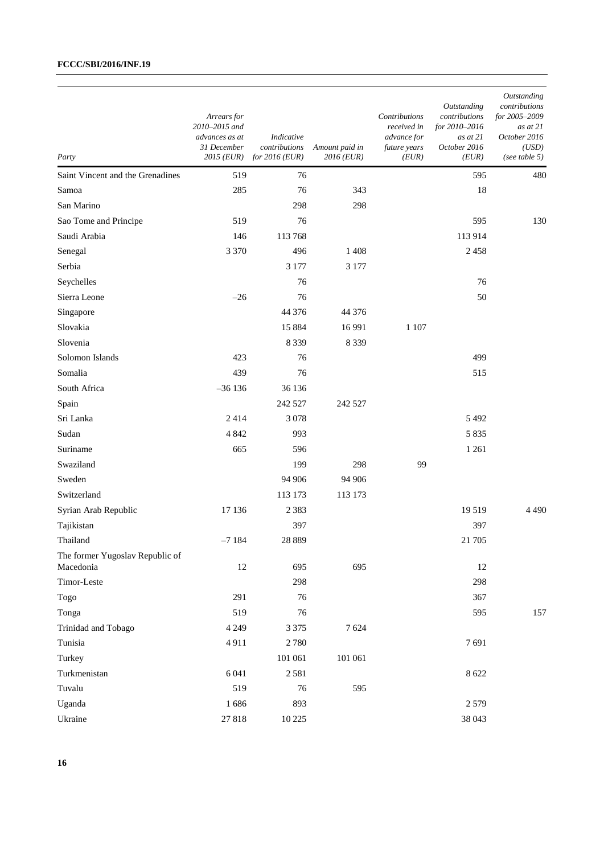| Party                                        | Arrears for<br>2010-2015 and<br>advances as at<br>31 December<br>2015 (EUR) | Indicative<br>contributions<br>for $2016$ (EUR) | Amount paid in<br>2016 (EUR) | Contributions<br>received in<br>advance for<br>future years<br>(EUR) | Outstanding<br>contributions<br>for 2010–2016<br>as at 21<br>October 2016<br>(EUR) | Outstanding<br>contributions<br>for 2005-2009<br>as at 21<br>October 2016<br>(USD)<br>(see table $5)$ |
|----------------------------------------------|-----------------------------------------------------------------------------|-------------------------------------------------|------------------------------|----------------------------------------------------------------------|------------------------------------------------------------------------------------|-------------------------------------------------------------------------------------------------------|
| Saint Vincent and the Grenadines             | 519                                                                         | 76                                              |                              |                                                                      | 595                                                                                | 480                                                                                                   |
| Samoa                                        | 285                                                                         | 76                                              | 343                          |                                                                      | 18                                                                                 |                                                                                                       |
| San Marino                                   |                                                                             | 298                                             | 298                          |                                                                      |                                                                                    |                                                                                                       |
| Sao Tome and Principe                        | 519                                                                         | 76                                              |                              |                                                                      | 595                                                                                | 130                                                                                                   |
| Saudi Arabia                                 | 146                                                                         | 113768                                          |                              |                                                                      | 113914                                                                             |                                                                                                       |
| Senegal                                      | 3 3 7 0                                                                     | 496                                             | 1 4 0 8                      |                                                                      | 2458                                                                               |                                                                                                       |
| Serbia                                       |                                                                             | 3 1 7 7                                         | 3 177                        |                                                                      |                                                                                    |                                                                                                       |
| Seychelles                                   |                                                                             | 76                                              |                              |                                                                      | 76                                                                                 |                                                                                                       |
| Sierra Leone                                 | $-26$                                                                       | 76                                              |                              |                                                                      | 50                                                                                 |                                                                                                       |
| Singapore                                    |                                                                             | 44 376                                          | 44 37 6                      |                                                                      |                                                                                    |                                                                                                       |
| Slovakia                                     |                                                                             | 15 8 8 4                                        | 16 9 91                      | 1 1 0 7                                                              |                                                                                    |                                                                                                       |
| Slovenia                                     |                                                                             | 8 3 3 9                                         | 8 3 3 9                      |                                                                      |                                                                                    |                                                                                                       |
| Solomon Islands                              | 423                                                                         | 76                                              |                              |                                                                      | 499                                                                                |                                                                                                       |
| Somalia                                      | 439                                                                         | 76                                              |                              |                                                                      | 515                                                                                |                                                                                                       |
| South Africa                                 | $-36136$                                                                    | 36 136                                          |                              |                                                                      |                                                                                    |                                                                                                       |
| Spain                                        |                                                                             | 242 527                                         | 242 527                      |                                                                      |                                                                                    |                                                                                                       |
| Sri Lanka                                    | 2414                                                                        | 3078                                            |                              |                                                                      | 5 4 9 2                                                                            |                                                                                                       |
| Sudan                                        | 4 8 4 2                                                                     | 993                                             |                              |                                                                      | 5 8 3 5                                                                            |                                                                                                       |
| Suriname                                     | 665                                                                         | 596                                             |                              |                                                                      | 1 2 6 1                                                                            |                                                                                                       |
| Swaziland                                    |                                                                             | 199                                             | 298                          | 99                                                                   |                                                                                    |                                                                                                       |
| Sweden                                       |                                                                             | 94 906                                          | 94 906                       |                                                                      |                                                                                    |                                                                                                       |
| Switzerland                                  |                                                                             | 113 173                                         | 113 173                      |                                                                      |                                                                                    |                                                                                                       |
| Syrian Arab Republic                         | 17 136                                                                      | 2 3 8 3                                         |                              |                                                                      | 19519                                                                              | 4 4 9 0                                                                                               |
| Tajikistan                                   |                                                                             | 397                                             |                              |                                                                      | 397                                                                                |                                                                                                       |
| Thailand                                     | $-7184$                                                                     | 28 8 8 9                                        |                              |                                                                      | 21 705                                                                             |                                                                                                       |
| The former Yugoslav Republic of<br>Macedonia | 12                                                                          | 695                                             | 695                          |                                                                      | 12                                                                                 |                                                                                                       |
| Timor-Leste                                  |                                                                             | 298                                             |                              |                                                                      | 298                                                                                |                                                                                                       |
| Togo                                         | 291                                                                         | 76                                              |                              |                                                                      | 367                                                                                |                                                                                                       |
| Tonga                                        | 519                                                                         | 76                                              |                              |                                                                      | 595                                                                                | 157                                                                                                   |
| Trinidad and Tobago                          | 4 2 4 9                                                                     | 3 3 7 5                                         | 7624                         |                                                                      |                                                                                    |                                                                                                       |
| Tunisia                                      | 4911                                                                        | 2780                                            |                              |                                                                      | 7691                                                                               |                                                                                                       |
| Turkey                                       |                                                                             | 101 061                                         | 101 061                      |                                                                      |                                                                                    |                                                                                                       |
| Turkmenistan                                 | 6 0 4 1                                                                     | 2581                                            |                              |                                                                      | 8 6 22                                                                             |                                                                                                       |
| Tuvalu                                       | 519                                                                         | 76                                              | 595                          |                                                                      |                                                                                    |                                                                                                       |
| Uganda                                       | 1686                                                                        | 893                                             |                              |                                                                      | 2579                                                                               |                                                                                                       |
| Ukraine                                      | 27818                                                                       | 10 225                                          |                              |                                                                      | 38 043                                                                             |                                                                                                       |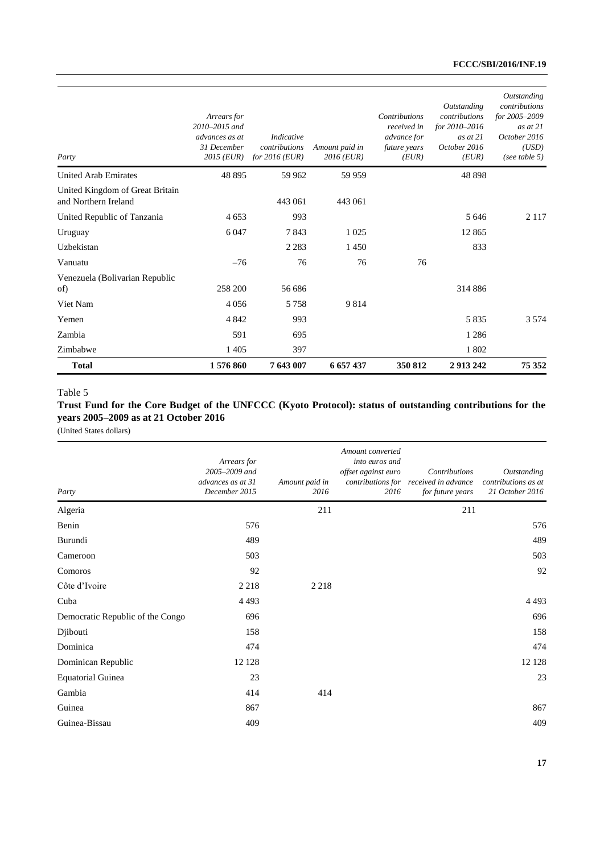| Party                                                   | Arrears for<br>2010-2015 and<br>advances as at<br>31 December<br>2015 (EUR) | Indicative<br>contributions<br>for $2016$ (EUR) | Amount paid in<br>$2016$ (EUR) | Contributions<br>received in<br>advance for<br>future years<br>(EUR) | Outstanding<br>contributions<br>for 2010-2016<br>$as$ at $21$<br>October 2016<br>(EUR) | Outstanding<br>contributions<br>for 2005-2009<br>as at $21$<br>October 2016<br>(USD)<br>(see table 5) |
|---------------------------------------------------------|-----------------------------------------------------------------------------|-------------------------------------------------|--------------------------------|----------------------------------------------------------------------|----------------------------------------------------------------------------------------|-------------------------------------------------------------------------------------------------------|
| <b>United Arab Emirates</b>                             | 48 895                                                                      | 59 962                                          | 59 959                         |                                                                      | 48 898                                                                                 |                                                                                                       |
| United Kingdom of Great Britain<br>and Northern Ireland |                                                                             | 443 061                                         | 443 061                        |                                                                      |                                                                                        |                                                                                                       |
| United Republic of Tanzania                             | 4 6 5 3                                                                     | 993                                             |                                |                                                                      | 5 6 4 6                                                                                | 2 1 1 7                                                                                               |
| Uruguay                                                 | 6 0 4 7                                                                     | 7843                                            | 1 0 2 5                        |                                                                      | 12 8 65                                                                                |                                                                                                       |
| Uzbekistan                                              |                                                                             | 2 2 8 3                                         | 1450                           |                                                                      | 833                                                                                    |                                                                                                       |
| Vanuatu                                                 | $-76$                                                                       | 76                                              | 76                             | 76                                                                   |                                                                                        |                                                                                                       |
| Venezuela (Bolivarian Republic<br>of)                   | 258 200                                                                     | 56 686                                          |                                |                                                                      | 314 886                                                                                |                                                                                                       |
| Viet Nam                                                | 4056                                                                        | 5758                                            | 9814                           |                                                                      |                                                                                        |                                                                                                       |
| Yemen                                                   | 4 8 4 2                                                                     | 993                                             |                                |                                                                      | 5835                                                                                   | 3 5 7 4                                                                                               |
| Zambia                                                  | 591                                                                         | 695                                             |                                |                                                                      | 1 2 8 6                                                                                |                                                                                                       |
| Zimbabwe                                                | 1 4 0 5                                                                     | 397                                             |                                |                                                                      | 1802                                                                                   |                                                                                                       |
| <b>Total</b>                                            | 1576860                                                                     | 7643007                                         | 6 657 437                      | 350 812                                                              | 2 913 242                                                                              | 75 352                                                                                                |

#### Table 5

### **Trust Fund for the Core Budget of the UNFCCC (Kyoto Protocol): status of outstanding contributions for the years 2005–2009 as at 21 October 2016**

| Party                            | Arrears for<br>2005-2009 and<br>advances as at 31<br>December 2015 | Amount paid in<br>2016 | Amount converted<br>into euros and<br>offset against euro<br>contributions for<br>2016 | <b>Contributions</b><br>received in advance<br>for future years | Outstanding<br>contributions as at<br>21 October 2016 |
|----------------------------------|--------------------------------------------------------------------|------------------------|----------------------------------------------------------------------------------------|-----------------------------------------------------------------|-------------------------------------------------------|
| Algeria                          |                                                                    | 211                    |                                                                                        | 211                                                             |                                                       |
| Benin                            | 576                                                                |                        |                                                                                        |                                                                 | 576                                                   |
| Burundi                          | 489                                                                |                        |                                                                                        |                                                                 | 489                                                   |
| Cameroon                         | 503                                                                |                        |                                                                                        |                                                                 | 503                                                   |
| Comoros                          | 92                                                                 |                        |                                                                                        |                                                                 | 92                                                    |
| Côte d'Ivoire                    | 2 2 1 8                                                            | 2 2 1 8                |                                                                                        |                                                                 |                                                       |
| Cuba                             | 4493                                                               |                        |                                                                                        |                                                                 | 4 4 9 3                                               |
| Democratic Republic of the Congo | 696                                                                |                        |                                                                                        |                                                                 | 696                                                   |
| Djibouti                         | 158                                                                |                        |                                                                                        |                                                                 | 158                                                   |
| Dominica                         | 474                                                                |                        |                                                                                        |                                                                 | 474                                                   |
| Dominican Republic               | 12 12 8                                                            |                        |                                                                                        |                                                                 | 12 12 8                                               |
| <b>Equatorial Guinea</b>         | 23                                                                 |                        |                                                                                        |                                                                 | 23                                                    |
| Gambia                           | 414                                                                | 414                    |                                                                                        |                                                                 |                                                       |
| Guinea                           | 867                                                                |                        |                                                                                        |                                                                 | 867                                                   |
| Guinea-Bissau                    | 409                                                                |                        |                                                                                        |                                                                 | 409                                                   |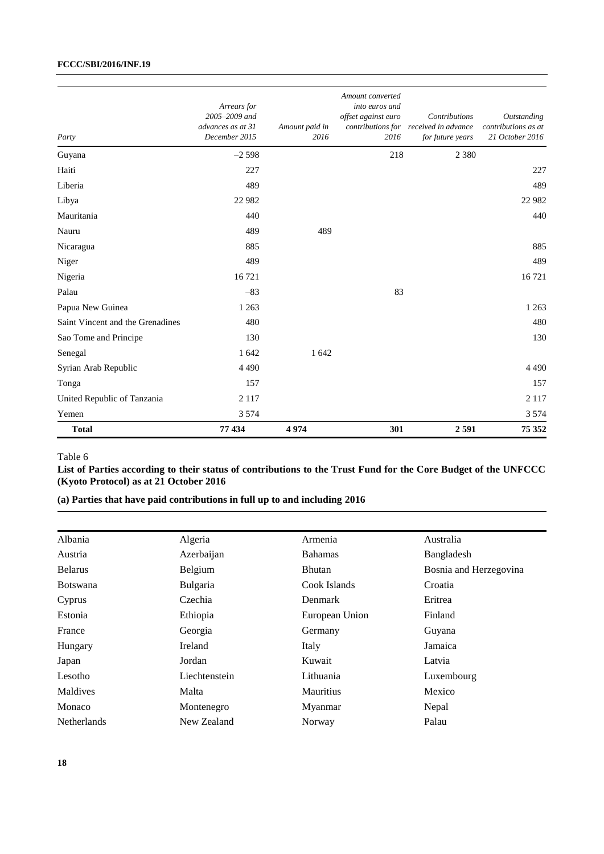| Party                            | Arrears for<br>2005-2009 and<br>advances as at 31<br>December 2015 | Amount paid in<br>2016 | Amount converted<br>into euros and<br>offset against euro<br>2016 | Contributions<br>contributions for received in advance<br>for future years | Outstanding<br>contributions as at<br>21 October 2016 |
|----------------------------------|--------------------------------------------------------------------|------------------------|-------------------------------------------------------------------|----------------------------------------------------------------------------|-------------------------------------------------------|
| Guyana                           | $-2598$                                                            |                        | 218                                                               | 2 3 8 0                                                                    |                                                       |
| Haiti                            | 227                                                                |                        |                                                                   |                                                                            | 227                                                   |
| Liberia                          | 489                                                                |                        |                                                                   |                                                                            | 489                                                   |
| Libya                            | 22 982                                                             |                        |                                                                   |                                                                            | 22 9 82                                               |
| Mauritania                       | 440                                                                |                        |                                                                   |                                                                            | 440                                                   |
| Nauru                            | 489                                                                | 489                    |                                                                   |                                                                            |                                                       |
| Nicaragua                        | 885                                                                |                        |                                                                   |                                                                            | 885                                                   |
| Niger                            | 489                                                                |                        |                                                                   |                                                                            | 489                                                   |
| Nigeria                          | 16721                                                              |                        |                                                                   |                                                                            | 16721                                                 |
| Palau                            | $-83$                                                              |                        | 83                                                                |                                                                            |                                                       |
| Papua New Guinea                 | 1 2 6 3                                                            |                        |                                                                   |                                                                            | 1 2 6 3                                               |
| Saint Vincent and the Grenadines | 480                                                                |                        |                                                                   |                                                                            | 480                                                   |
| Sao Tome and Principe            | 130                                                                |                        |                                                                   |                                                                            | 130                                                   |
| Senegal                          | 1 642                                                              | 1 642                  |                                                                   |                                                                            |                                                       |
| Syrian Arab Republic             | 4 4 9 0                                                            |                        |                                                                   |                                                                            | 4490                                                  |
| Tonga                            | 157                                                                |                        |                                                                   |                                                                            | 157                                                   |
| United Republic of Tanzania      | 2 1 1 7                                                            |                        |                                                                   |                                                                            | 2 1 1 7                                               |
| Yemen                            | 3 5 7 4                                                            |                        |                                                                   |                                                                            | 3 5 7 4                                               |
| <b>Total</b>                     | 77434                                                              | 4974                   | 301                                                               | 2591                                                                       | 75 352                                                |

### Table 6

**List of Parties according to their status of contributions to the Trust Fund for the Core Budget of the UNFCCC (Kyoto Protocol) as at 21 October 2016**

# **(a) Parties that have paid contributions in full up to and including 2016**

| Albania            | Algeria        | Armenia          | Australia              |
|--------------------|----------------|------------------|------------------------|
| Austria            | Azerbaijan     | <b>Bahamas</b>   | Bangladesh             |
| <b>Belarus</b>     | Belgium        | Bhutan           | Bosnia and Herzegovina |
| <b>Botswana</b>    | Bulgaria       | Cook Islands     | Croatia                |
| Cyprus             | Czechia        | Denmark          | Eritrea                |
| Estonia            | Ethiopia       | European Union   | Finland                |
| France             | Georgia        | Germany          | Guyana                 |
| Hungary            | <b>Ireland</b> | Italy            | Jamaica                |
| Japan              | Jordan         | Kuwait           | Latvia                 |
| Lesotho            | Liechtenstein  | Lithuania        | Luxembourg             |
| Maldives           | Malta          | <b>Mauritius</b> | Mexico                 |
| Monaco             | Montenegro     | Myanmar          | Nepal                  |
| <b>Netherlands</b> | New Zealand    | Norway           | Palau                  |
|                    |                |                  |                        |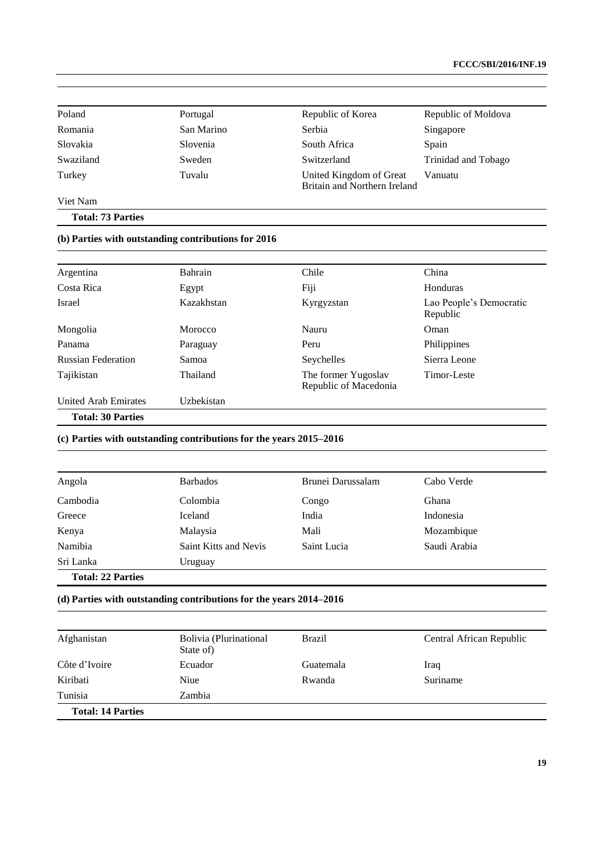| Poland    | Portugal   | Republic of Korea                                       | Republic of Moldova |
|-----------|------------|---------------------------------------------------------|---------------------|
| Romania   | San Marino | Serbia                                                  | Singapore           |
| Slovakia  | Slovenia   | South Africa                                            | Spain               |
| Swaziland | Sweden     | Switzerland                                             | Trinidad and Tobago |
| Turkey    | Tuvalu     | United Kingdom of Great<br>Britain and Northern Ireland | Vanuatu             |

Viet Nam

**Total: 73 Parties**

## **(b) Parties with outstanding contributions for 2016**

| Argentina                   | Bahrain    | Chile                                        | China                               |
|-----------------------------|------------|----------------------------------------------|-------------------------------------|
| Costa Rica                  | Egypt      | Fiji                                         | Honduras                            |
| Israel                      | Kazakhstan | Kyrgyzstan                                   | Lao People's Democratic<br>Republic |
| Mongolia                    | Morocco    | Nauru                                        | Oman                                |
| Panama                      | Paraguay   | Peru                                         | Philippines                         |
| <b>Russian Federation</b>   | Samoa      | Seychelles                                   | Sierra Leone                        |
| Tajikistan                  | Thailand   | The former Yugoslav<br>Republic of Macedonia | Timor-Leste                         |
| <b>United Arab Emirates</b> | Uzbekistan |                                              |                                     |
| <b>Total: 30 Parties</b>    |            |                                              |                                     |

### **(c) Parties with outstanding contributions for the years 2015–2016**

| Angola                   | <b>Barbados</b>       | Brunei Darussalam | Cabo Verde   |
|--------------------------|-----------------------|-------------------|--------------|
| Cambodia                 | Colombia              | Congo             | Ghana        |
| Greece                   | Iceland               | India             | Indonesia    |
| Kenya                    | Malaysia              | Mali              | Mozambique   |
| Namibia                  | Saint Kitts and Nevis | Saint Lucia       | Saudi Arabia |
| Sri Lanka                | Uruguay               |                   |              |
| <b>Total: 22 Parties</b> |                       |                   |              |

### **(d) Parties with outstanding contributions for the years 2014–2016**

| Afghanistan              | Bolivia (Plurinational<br>State of) | <b>Brazil</b> | Central African Republic |
|--------------------------|-------------------------------------|---------------|--------------------------|
| Côte d'Ivoire            | Ecuador                             | Guatemala     | Iraq                     |
| Kiribati                 | Niue                                | Rwanda        | Suriname                 |
| Tunisia                  | Zambia                              |               |                          |
| <b>Total: 14 Parties</b> |                                     |               |                          |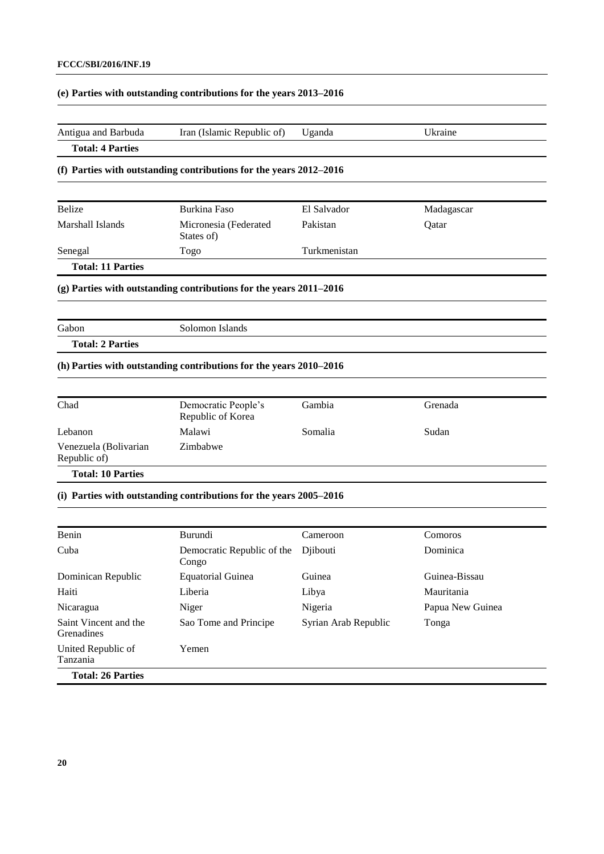### **(e) Parties with outstanding contributions for the years 2013–2016**

Congo

Yemen

Dominican Republic Equatorial Guinea Guinea Guinea-Bissau Haiti Liberia Libya Mauritania

Nicaragua Niger Niger Nigeria Nigeria Papua New Guinea

Sao Tome and Principe Syrian Arab Republic Tonga

| Antigua and Barbuda                   | Iran (Islamic Republic of)                                         | Uganda       | Ukraine    |
|---------------------------------------|--------------------------------------------------------------------|--------------|------------|
| <b>Total: 4 Parties</b>               |                                                                    |              |            |
|                                       | (f) Parties with outstanding contributions for the years 2012-2016 |              |            |
| Belize                                | <b>Burkina Faso</b>                                                | El Salvador  | Madagascar |
| Marshall Islands                      | Micronesia (Federated<br>States of)                                | Pakistan     | Qatar      |
| Senegal                               | Togo                                                               | Turkmenistan |            |
| <b>Total: 11 Parties</b>              |                                                                    |              |            |
|                                       | (g) Parties with outstanding contributions for the years 2011-2016 |              |            |
|                                       |                                                                    |              |            |
| Gabon                                 | Solomon Islands                                                    |              |            |
| <b>Total: 2 Parties</b>               |                                                                    |              |            |
|                                       | (h) Parties with outstanding contributions for the years 2010-2016 |              |            |
|                                       |                                                                    |              |            |
| Chad                                  | Democratic People's<br>Republic of Korea                           | Gambia       | Grenada    |
| Lebanon                               | Malawi                                                             | Somalia      | Sudan      |
| Venezuela (Bolivarian<br>Republic of) | Zimbabwe                                                           |              |            |
| <b>Total: 10 Parties</b>              |                                                                    |              |            |
|                                       | (i) Parties with outstanding contributions for the years 2005-2016 |              |            |
|                                       |                                                                    |              |            |
| Benin                                 | Burundi                                                            | Cameroon     | Comoros    |
| Cuba                                  | Democratic Republic of the                                         | Djibouti     | Dominica   |

Saint Vincent and the

United Republic of

**Total: 26 Parties**

Grenadines

Tanzania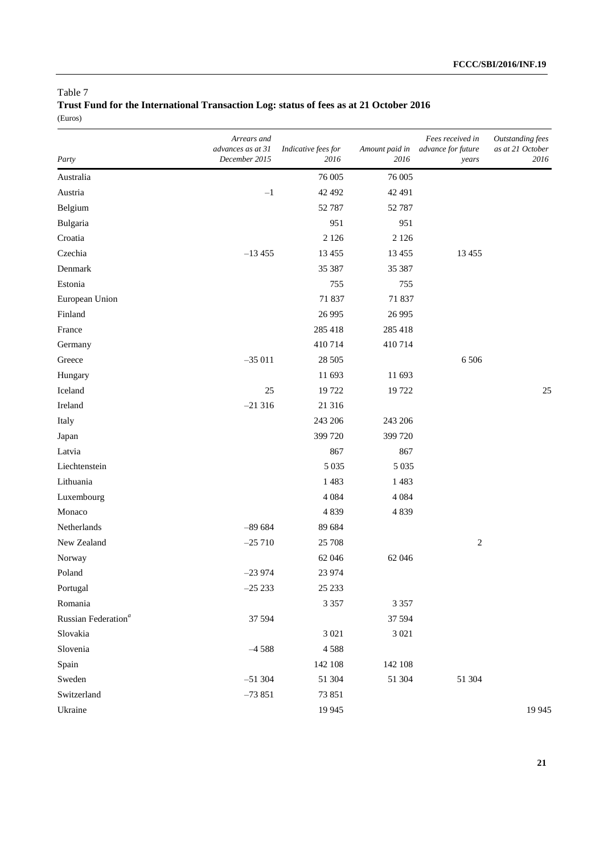### Table 7

**Trust Fund for the International Transaction Log: status of fees as at 21 October 2016** (Euros)

| Party                           | Arrears and<br>advances as at 31<br>December 2015 | Indicative fees for<br>2016 | Amount paid in<br>2016 | Fees received in<br>advance for future<br>years | <b>Outstanding fees</b><br>as at 21 October<br>2016 |
|---------------------------------|---------------------------------------------------|-----------------------------|------------------------|-------------------------------------------------|-----------------------------------------------------|
| Australia                       |                                                   | 76 005                      | 76 005                 |                                                 |                                                     |
| Austria                         | $-1$                                              | 42 492                      | 42 491                 |                                                 |                                                     |
| Belgium                         |                                                   | 52 787                      | 52 787                 |                                                 |                                                     |
| Bulgaria                        |                                                   | 951                         | 951                    |                                                 |                                                     |
| Croatia                         |                                                   | 2 1 2 6                     | 2 1 2 6                |                                                 |                                                     |
| Czechia                         | $-13455$                                          | 13 4 55                     | 13 4 55                | 13 4 55                                         |                                                     |
| Denmark                         |                                                   | 35 387                      | 35 387                 |                                                 |                                                     |
| Estonia                         |                                                   | 755                         | 755                    |                                                 |                                                     |
| European Union                  |                                                   | 71 837                      | 71 837                 |                                                 |                                                     |
| Finland                         |                                                   | 26 9 95                     | 26 9 95                |                                                 |                                                     |
| France                          |                                                   | 285 418                     | 285 418                |                                                 |                                                     |
| Germany                         |                                                   | 410714                      | 410714                 |                                                 |                                                     |
| Greece                          | $-35011$                                          | 28 505                      |                        | 6506                                            |                                                     |
| Hungary                         |                                                   | 11 693                      | 11 693                 |                                                 |                                                     |
| Iceland                         | 25                                                | 19722                       | 19722                  |                                                 | 25                                                  |
| Ireland                         | $-21316$                                          | 21 316                      |                        |                                                 |                                                     |
| Italy                           |                                                   | 243 206                     | 243 206                |                                                 |                                                     |
| Japan                           |                                                   | 399 720                     | 399 720                |                                                 |                                                     |
| Latvia                          |                                                   | 867                         | 867                    |                                                 |                                                     |
| Liechtenstein                   |                                                   | 5 0 3 5                     | 5 0 3 5                |                                                 |                                                     |
| Lithuania                       |                                                   | 1483                        | 1483                   |                                                 |                                                     |
| Luxembourg                      |                                                   | 4 0 8 4                     | 4 0 8 4                |                                                 |                                                     |
| Monaco                          |                                                   | 4839                        | 4839                   |                                                 |                                                     |
| Netherlands                     | $-89684$                                          | 89 684                      |                        |                                                 |                                                     |
| New Zealand                     | $-25710$                                          | 25 708                      |                        | $\overline{c}$                                  |                                                     |
| Norway                          |                                                   | 62 046                      | 62 046                 |                                                 |                                                     |
| Poland                          | $-23974$                                          | 23 974                      |                        |                                                 |                                                     |
| Portugal                        | $-25233$                                          | 25 233                      |                        |                                                 |                                                     |
| Romania                         |                                                   | 3 3 5 7                     | 3 3 5 7                |                                                 |                                                     |
| Russian Federation <sup>a</sup> | 37 594                                            |                             | 37 594                 |                                                 |                                                     |
| Slovakia                        |                                                   | 3 0 21                      | 3 0 2 1                |                                                 |                                                     |
| Slovenia                        | $-4588$                                           | 4588                        |                        |                                                 |                                                     |
| Spain                           |                                                   | 142 108                     | 142 108                |                                                 |                                                     |
| Sweden                          | $-51304$                                          | 51 304                      | 51 304                 | 51 304                                          |                                                     |
| Switzerland                     | $-73851$                                          | 73 851                      |                        |                                                 |                                                     |
| Ukraine                         |                                                   | 19 9 45                     |                        |                                                 | 19 9 45                                             |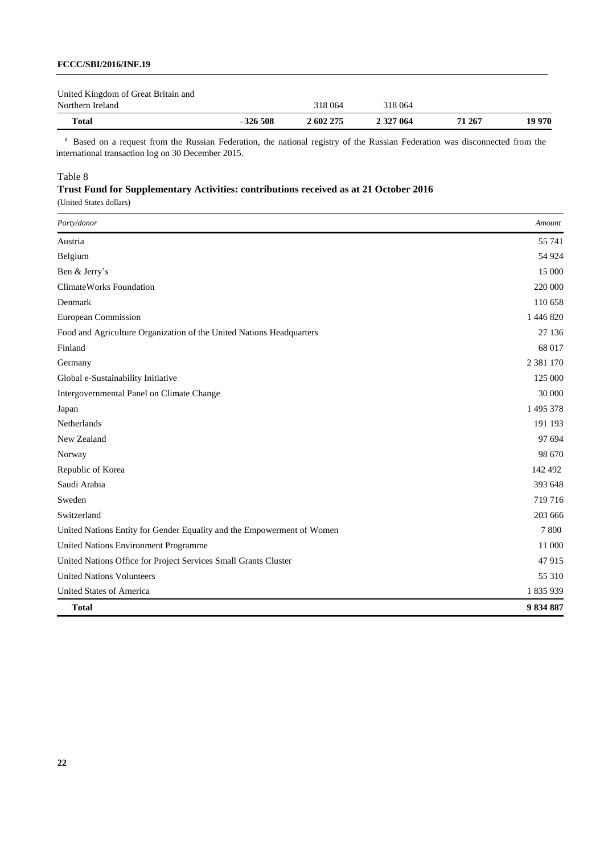| <b>Total</b>                        | $-326508$ | 2 602 275 | 2 327 064 | 71 267 | 19 970 |
|-------------------------------------|-----------|-----------|-----------|--------|--------|
| Northern Ireland                    |           | 318 064   | 318 064   |        |        |
| United Kingdom of Great Britain and |           |           |           |        |        |

<sup>a</sup> Based on a request from the Russian Federation, the national registry of the Russian Federation was disconnected from the international transaction log on 30 December 2015.

### Table 8

# **Trust Fund for Supplementary Activities: contributions received as at 21 October 2016**

| Party/donor                                                            | Amount    |
|------------------------------------------------------------------------|-----------|
| Austria                                                                | 55 741    |
| Belgium                                                                | 54 924    |
| Ben & Jerry's                                                          | 15 000    |
| ClimateWorks Foundation                                                | 220 000   |
| Denmark                                                                | 110 658   |
| <b>European Commission</b>                                             | 1 446 820 |
| Food and Agriculture Organization of the United Nations Headquarters   | 27 136    |
| Finland                                                                | 68 017    |
| Germany                                                                | 2 381 170 |
| Global e-Sustainability Initiative                                     | 125 000   |
| Intergovernmental Panel on Climate Change                              | 30 000    |
| Japan                                                                  | 1 495 378 |
| Netherlands                                                            | 191 193   |
| New Zealand                                                            | 97 694    |
| Norway                                                                 | 98 670    |
| Republic of Korea                                                      | 142 492   |
| Saudi Arabia                                                           | 393 648   |
| Sweden                                                                 | 719 716   |
| Switzerland                                                            | 203 666   |
| United Nations Entity for Gender Equality and the Empowerment of Women | 7800      |
| United Nations Environment Programme                                   | 11 000    |
| United Nations Office for Project Services Small Grants Cluster        | 47915     |
| <b>United Nations Volunteers</b>                                       | 55 310    |
| United States of America                                               | 1835939   |
| <b>Total</b>                                                           | 9834887   |